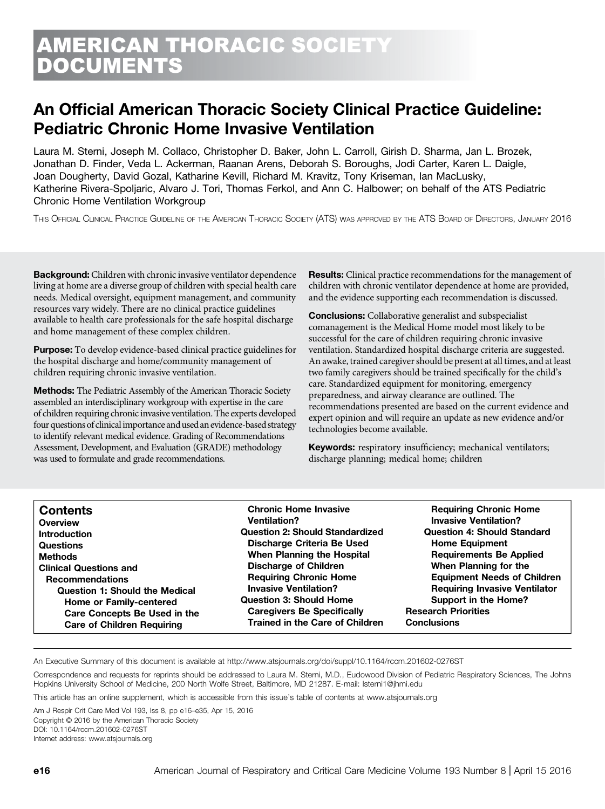# An Official American Thoracic Society Clinical Practice Guideline: Pediatric Chronic Home Invasive Ventilation

Laura M. Sterni, Joseph M. Collaco, Christopher D. Baker, John L. Carroll, Girish D. Sharma, Jan L. Brozek, Jonathan D. Finder, Veda L. Ackerman, Raanan Arens, Deborah S. Boroughs, Jodi Carter, Karen L. Daigle, Joan Dougherty, David Gozal, Katharine Kevill, Richard M. Kravitz, Tony Kriseman, Ian MacLusky, Katherine Rivera-Spoljaric, Alvaro J. Tori, Thomas Ferkol, and Ann C. Halbower; on behalf of the ATS Pediatric Chronic Home Ventilation Workgroup

THIS OFFICIAL CLINICAL PRACTICE GUIDELINE OF THE AMERICAN THORACIC SOCIETY (ATS) wAS APPROVED BY THE ATS BOARD OF DIRECTORS, JANUARY 2016

Background: Children with chronic invasive ventilator dependence living at home are a diverse group of children with special health care needs. Medical oversight, equipment management, and community resources vary widely. There are no clinical practice guidelines available to health care professionals for the safe hospital discharge and home management of these complex children.

Purpose: To develop evidence-based clinical practice guidelines for the hospital discharge and home/community management of children requiring chronic invasive ventilation.

Methods: The Pediatric Assembly of the American Thoracic Society assembled an interdisciplinary workgroup with expertise in the care of children requiring chronic invasive ventilation. The experts developed four questions of clinicalimportance and used an evidence-based strategy to identify relevant medical evidence. Grading of Recommendations Assessment, Development, and Evaluation (GRADE) methodology was used to formulate and grade recommendations.

Results: Clinical practice recommendations for the management of children with chronic ventilator dependence at home are provided, and the evidence supporting each recommendation is discussed.

Conclusions: Collaborative generalist and subspecialist comanagement is the Medical Home model most likely to be successful for the care of children requiring chronic invasive ventilation. Standardized hospital discharge criteria are suggested. An awake, trained caregiver should be present at all times, and at least two family caregivers should be trained specifically for the child's care. Standardized equipment for monitoring, emergency preparedness, and airway clearance are outlined. The recommendations presented are based on the current evidence and expert opinion and will require an update as new evidence and/or technologies become available.

Keywords: respiratory insufficiency; mechanical ventilators; discharge planning; medical home; children

An Executive Summary of this document is available at<http://www.atsjournals.org/doi/suppl/10.1164/rccm.201602-0276ST>

Correspondence and requests for reprints should be addressed to Laura M. Sterni, M.D., Eudowood Division of Pediatric Respiratory Sciences, The Johns Hopkins University School of Medicine, 200 North Wolfe Street, Baltimore, MD 21287. E-mail: [lsterni1@jhmi.edu](mailto:lsterni1@jhmi.edu)

This article has an online supplement, which is accessible from this issue's table of contents at<www.atsjournals.org>

Am J Respir Crit Care Med Vol 193, Iss 8, pp e16–e35, Apr 15, 2016 Copyright © 2016 by the American Thoracic Society DOI: [10.1164/rccm.201602-0276ST](http://10.1164/rccm.201602-0276ST) Internet address: [www.atsjournals.org](http://www.atsjournals.org)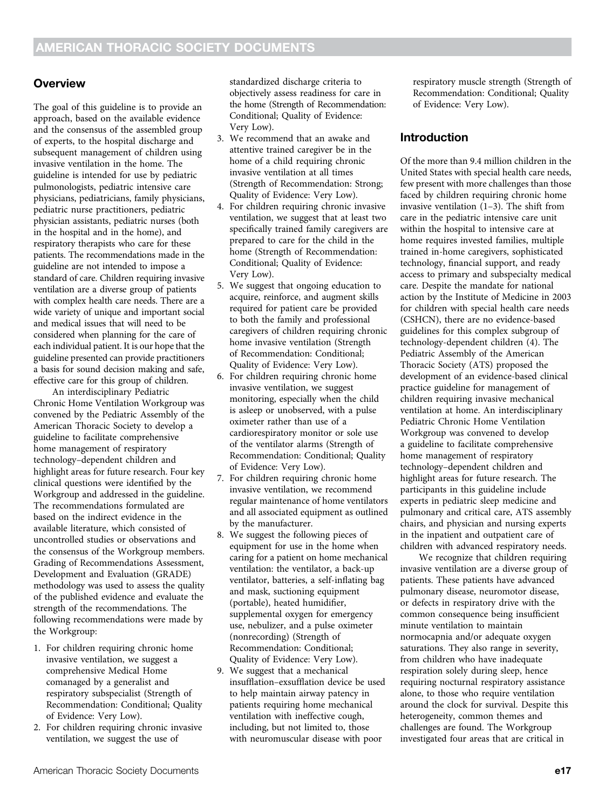## **Overview**

The goal of this guideline is to provide an approach, based on the available evidence and the consensus of the assembled group of experts, to the hospital discharge and subsequent management of children using invasive ventilation in the home. The guideline is intended for use by pediatric pulmonologists, pediatric intensive care physicians, pediatricians, family physicians, pediatric nurse practitioners, pediatric physician assistants, pediatric nurses (both in the hospital and in the home), and respiratory therapists who care for these patients. The recommendations made in the guideline are not intended to impose a standard of care. Children requiring invasive ventilation are a diverse group of patients with complex health care needs. There are a wide variety of unique and important social and medical issues that will need to be considered when planning for the care of each individual patient. It is our hope that the guideline presented can provide practitioners a basis for sound decision making and safe, effective care for this group of children.

An interdisciplinary Pediatric Chronic Home Ventilation Workgroup was convened by the Pediatric Assembly of the American Thoracic Society to develop a guideline to facilitate comprehensive home management of respiratory technology–dependent children and highlight areas for future research. Four key clinical questions were identified by the Workgroup and addressed in the guideline. The recommendations formulated are based on the indirect evidence in the available literature, which consisted of uncontrolled studies or observations and the consensus of the Workgroup members. Grading of Recommendations Assessment, Development and Evaluation (GRADE) methodology was used to assess the quality of the published evidence and evaluate the strength of the recommendations. The following recommendations were made by the Workgroup:

- 1. For children requiring chronic home invasive ventilation, we suggest a comprehensive Medical Home comanaged by a generalist and respiratory subspecialist (Strength of Recommendation: Conditional; Quality of Evidence: Very Low).
- 2. For children requiring chronic invasive ventilation, we suggest the use of

standardized discharge criteria to objectively assess readiness for care in the home (Strength of Recommendation: Conditional; Quality of Evidence: Very Low).

- 3. We recommend that an awake and attentive trained caregiver be in the home of a child requiring chronic invasive ventilation at all times (Strength of Recommendation: Strong; Quality of Evidence: Very Low).
- 4. For children requiring chronic invasive ventilation, we suggest that at least two specifically trained family caregivers are prepared to care for the child in the home (Strength of Recommendation: Conditional; Quality of Evidence: Very Low).
- 5. We suggest that ongoing education to acquire, reinforce, and augment skills required for patient care be provided to both the family and professional caregivers of children requiring chronic home invasive ventilation (Strength of Recommendation: Conditional; Quality of Evidence: Very Low).
- 6. For children requiring chronic home invasive ventilation, we suggest monitoring, especially when the child is asleep or unobserved, with a pulse oximeter rather than use of a cardiorespiratory monitor or sole use of the ventilator alarms (Strength of Recommendation: Conditional; Quality of Evidence: Very Low).
- 7. For children requiring chronic home invasive ventilation, we recommend regular maintenance of home ventilators and all associated equipment as outlined by the manufacturer.
- 8. We suggest the following pieces of equipment for use in the home when caring for a patient on home mechanical ventilation: the ventilator, a back-up ventilator, batteries, a self-inflating bag and mask, suctioning equipment (portable), heated humidifier, supplemental oxygen for emergency use, nebulizer, and a pulse oximeter (nonrecording) (Strength of Recommendation: Conditional; Quality of Evidence: Very Low).
- 9. We suggest that a mechanical insufflation–exsufflation device be used to help maintain airway patency in patients requiring home mechanical ventilation with ineffective cough, including, but not limited to, those with neuromuscular disease with poor

respiratory muscle strength (Strength of Recommendation: Conditional; Quality of Evidence: Very Low).

## Introduction

Of the more than 9.4 million children in the United States with special health care needs, few present with more challenges than those faced by children requiring chronic home invasive ventilation (1–3). The shift from care in the pediatric intensive care unit within the hospital to intensive care at home requires invested families, multiple trained in-home caregivers, sophisticated technology, financial support, and ready access to primary and subspecialty medical care. Despite the mandate for national action by the Institute of Medicine in 2003 for children with special health care needs (CSHCN), there are no evidence-based guidelines for this complex subgroup of technology-dependent children (4). The Pediatric Assembly of the American Thoracic Society (ATS) proposed the development of an evidence-based clinical practice guideline for management of children requiring invasive mechanical ventilation at home. An interdisciplinary Pediatric Chronic Home Ventilation Workgroup was convened to develop a guideline to facilitate comprehensive home management of respiratory technology–dependent children and highlight areas for future research. The participants in this guideline include experts in pediatric sleep medicine and pulmonary and critical care, ATS assembly chairs, and physician and nursing experts in the inpatient and outpatient care of children with advanced respiratory needs.

We recognize that children requiring invasive ventilation are a diverse group of patients. These patients have advanced pulmonary disease, neuromotor disease, or defects in respiratory drive with the common consequence being insufficient minute ventilation to maintain normocapnia and/or adequate oxygen saturations. They also range in severity, from children who have inadequate respiration solely during sleep, hence requiring nocturnal respiratory assistance alone, to those who require ventilation around the clock for survival. Despite this heterogeneity, common themes and challenges are found. The Workgroup investigated four areas that are critical in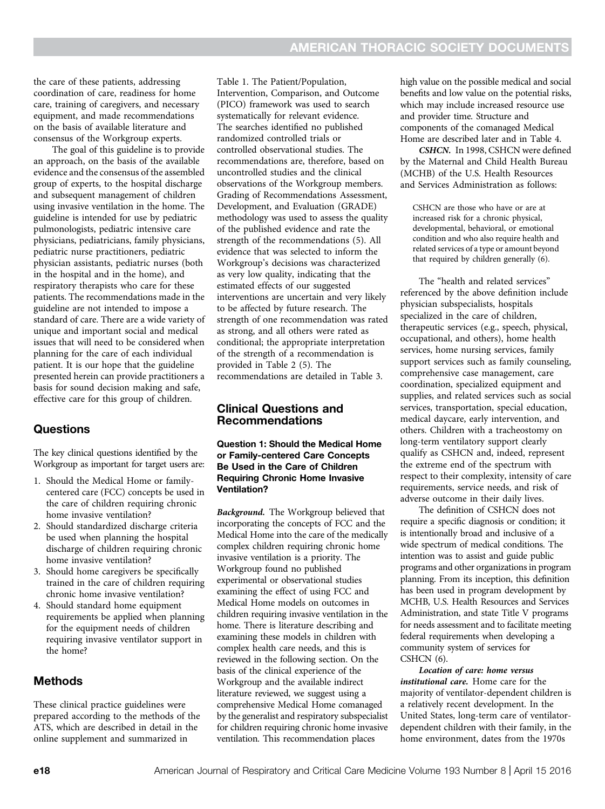the care of these patients, addressing coordination of care, readiness for home care, training of caregivers, and necessary equipment, and made recommendations on the basis of available literature and consensus of the Workgroup experts.

The goal of this guideline is to provide an approach, on the basis of the available evidence and the consensus of the assembled group of experts, to the hospital discharge and subsequent management of children using invasive ventilation in the home. The guideline is intended for use by pediatric pulmonologists, pediatric intensive care physicians, pediatricians, family physicians, pediatric nurse practitioners, pediatric physician assistants, pediatric nurses (both in the hospital and in the home), and respiratory therapists who care for these patients. The recommendations made in the guideline are not intended to impose a standard of care. There are a wide variety of unique and important social and medical issues that will need to be considered when planning for the care of each individual patient. It is our hope that the guideline presented herein can provide practitioners a basis for sound decision making and safe, effective care for this group of children.

# **Questions**

The key clinical questions identified by the Workgroup as important for target users are:

- 1. Should the Medical Home or familycentered care (FCC) concepts be used in the care of children requiring chronic home invasive ventilation?
- 2. Should standardized discharge criteria be used when planning the hospital discharge of children requiring chronic home invasive ventilation?
- 3. Should home caregivers be specifically trained in the care of children requiring chronic home invasive ventilation?
- 4. Should standard home equipment requirements be applied when planning for the equipment needs of children requiring invasive ventilator support in the home?

## **Methods**

These clinical practice guidelines were prepared according to the methods of the ATS, which are described in detail in the online supplement and summarized in

Table 1. The Patient/Population, Intervention, Comparison, and Outcome (PICO) framework was used to search systematically for relevant evidence. The searches identified no published randomized controlled trials or controlled observational studies. The recommendations are, therefore, based on uncontrolled studies and the clinical observations of the Workgroup members. Grading of Recommendations Assessment, Development, and Evaluation (GRADE) methodology was used to assess the quality of the published evidence and rate the strength of the recommendations (5). All evidence that was selected to inform the Workgroup's decisions was characterized as very low quality, indicating that the estimated effects of our suggested interventions are uncertain and very likely to be affected by future research. The strength of one recommendation was rated as strong, and all others were rated as conditional; the appropriate interpretation of the strength of a recommendation is provided in Table 2 (5). The recommendations are detailed in Table 3.

## Clinical Questions and Recommendations

## Question 1: Should the Medical Home or Family-centered Care Concepts Be Used in the Care of Children Requiring Chronic Home Invasive Ventilation?

Background. The Workgroup believed that incorporating the concepts of FCC and the Medical Home into the care of the medically complex children requiring chronic home invasive ventilation is a priority. The Workgroup found no published experimental or observational studies examining the effect of using FCC and Medical Home models on outcomes in children requiring invasive ventilation in the home. There is literature describing and examining these models in children with complex health care needs, and this is reviewed in the following section. On the basis of the clinical experience of the Workgroup and the available indirect literature reviewed, we suggest using a comprehensive Medical Home comanaged by the generalist and respiratory subspecialist for children requiring chronic home invasive ventilation. This recommendation places

high value on the possible medical and social benefits and low value on the potential risks, which may include increased resource use and provider time. Structure and components of the comanaged Medical Home are described later and in Table 4.

CSHCN. In 1998, CSHCN were defined by the Maternal and Child Health Bureau (MCHB) of the U.S. Health Resources and Services Administration as follows:

CSHCN are those who have or are at increased risk for a chronic physical, developmental, behavioral, or emotional condition and who also require health and related services of a type or amount beyond that required by children generally (6).

The "health and related services" referenced by the above definition include physician subspecialists, hospitals specialized in the care of children, therapeutic services (e.g., speech, physical, occupational, and others), home health services, home nursing services, family support services such as family counseling, comprehensive case management, care coordination, specialized equipment and supplies, and related services such as social services, transportation, special education, medical daycare, early intervention, and others. Children with a tracheostomy on long-term ventilatory support clearly qualify as CSHCN and, indeed, represent the extreme end of the spectrum with respect to their complexity, intensity of care requirements, service needs, and risk of adverse outcome in their daily lives.

The definition of CSHCN does not require a specific diagnosis or condition; it is intentionally broad and inclusive of a wide spectrum of medical conditions. The intention was to assist and guide public programs and other organizations in program planning. From its inception, this definition has been used in program development by MCHB, U.S. Health Resources and Services Administration, and state Title V programs for needs assessment and to facilitate meeting federal requirements when developing a community system of services for CSHCN (6).

Location of care: home versus institutional care. Home care for the majority of ventilator-dependent children is a relatively recent development. In the United States, long-term care of ventilatordependent children with their family, in the home environment, dates from the 1970s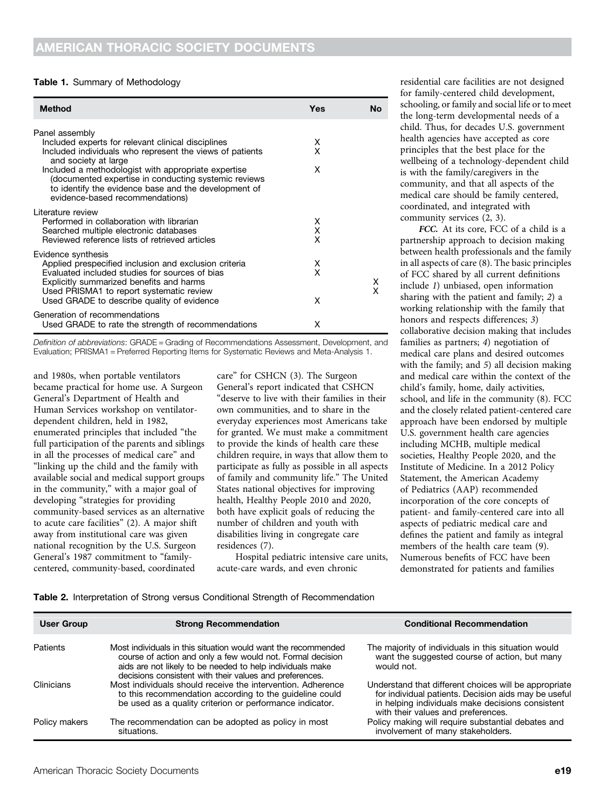## Table 1. Summary of Methodology

| <b>Method</b>                                                                                                                                                                                                                                                                                                                                                      | <b>Yes</b>  | Nο     |
|--------------------------------------------------------------------------------------------------------------------------------------------------------------------------------------------------------------------------------------------------------------------------------------------------------------------------------------------------------------------|-------------|--------|
| Panel assembly<br>Included experts for relevant clinical disciplines<br>Included individuals who represent the views of patients<br>and society at large<br>Included a methodologist with appropriate expertise<br>(documented expertise in conducting systemic reviews<br>to identify the evidence base and the development of<br>evidence-based recommendations) | X<br>x<br>x |        |
| I iterature review<br>Performed in collaboration with librarian<br>Searched multiple electronic databases<br>Reviewed reference lists of retrieved articles                                                                                                                                                                                                        | X<br>X<br>x |        |
| Evidence synthesis<br>Applied prespecified inclusion and exclusion criteria<br>Evaluated included studies for sources of bias<br>Explicitly summarized benefits and harms<br>Used PRISMA1 to report systematic review<br>Used GRADE to describe quality of evidence                                                                                                | X<br>x<br>x | х<br>x |
| Generation of recommendations<br>Used GRADE to rate the strength of recommendations                                                                                                                                                                                                                                                                                | х           |        |

Definition of abbreviations: GRADE = Grading of Recommendations Assessment, Development, and Evaluation; PRISMA1 = Preferred Reporting Items for Systematic Reviews and Meta-Analysis 1.

and 1980s, when portable ventilators became practical for home use. A Surgeon General's Department of Health and Human Services workshop on ventilatordependent children, held in 1982, enumerated principles that included "the full participation of the parents and siblings in all the processes of medical care" and "linking up the child and the family with available social and medical support groups in the community," with a major goal of developing "strategies for providing community-based services as an alternative to acute care facilities" (2). A major shift away from institutional care was given national recognition by the U.S. Surgeon General's 1987 commitment to "familycentered, community-based, coordinated

care" for CSHCN (3). The Surgeon General's report indicated that CSHCN "deserve to live with their families in their own communities, and to share in the everyday experiences most Americans take for granted. We must make a commitment to provide the kinds of health care these children require, in ways that allow them to participate as fully as possible in all aspects of family and community life." The United States national objectives for improving health, Healthy People 2010 and 2020, both have explicit goals of reducing the number of children and youth with disabilities living in congregate care residences (7).

Hospital pediatric intensive care units, acute-care wards, and even chronic

residential care facilities are not designed for family-centered child development, schooling, or family and social life or to meet the long-term developmental needs of a child. Thus, for decades U.S. government health agencies have accepted as core principles that the best place for the wellbeing of a technology-dependent child is with the family/caregivers in the community, and that all aspects of the medical care should be family centered, coordinated, and integrated with community services (2, 3).

FCC. At its core, FCC of a child is a partnership approach to decision making between health professionals and the family in all aspects of care (8). The basic principles of FCC shared by all current definitions include 1) unbiased, open information sharing with the patient and family; 2) a working relationship with the family that honors and respects differences; 3) collaborative decision making that includes families as partners; 4) negotiation of medical care plans and desired outcomes with the family; and 5) all decision making and medical care within the context of the child's family, home, daily activities, school, and life in the community (8). FCC and the closely related patient-centered care approach have been endorsed by multiple U.S. government health care agencies including MCHB, multiple medical societies, Healthy People 2020, and the Institute of Medicine. In a 2012 Policy Statement, the American Academy of Pediatrics (AAP) recommended incorporation of the core concepts of patient- and family-centered care into all aspects of pediatric medical care and defines the patient and family as integral members of the health care team (9). Numerous benefits of FCC have been demonstrated for patients and families

Table 2. Interpretation of Strong versus Conditional Strength of Recommendation

| <b>User Group</b> | <b>Strong Recommendation</b>                                                                                                                                                                                                                        | <b>Conditional Recommendation</b>                                                                                                                                                                       |
|-------------------|-----------------------------------------------------------------------------------------------------------------------------------------------------------------------------------------------------------------------------------------------------|---------------------------------------------------------------------------------------------------------------------------------------------------------------------------------------------------------|
| Patients          | Most individuals in this situation would want the recommended<br>course of action and only a few would not. Formal decision<br>aids are not likely to be needed to help individuals make<br>decisions consistent with their values and preferences. | The majority of individuals in this situation would<br>want the suggested course of action, but many<br>would not.                                                                                      |
| Clinicians        | Most individuals should receive the intervention. Adherence<br>to this recommendation according to the guideline could<br>be used as a quality criterion or performance indicator.                                                                  | Understand that different choices will be appropriate<br>for individual patients. Decision aids may be useful<br>in helping individuals make decisions consistent<br>with their values and preferences. |
| Policy makers     | The recommendation can be adopted as policy in most<br>situations.                                                                                                                                                                                  | Policy making will require substantial debates and<br>involvement of many stakeholders.                                                                                                                 |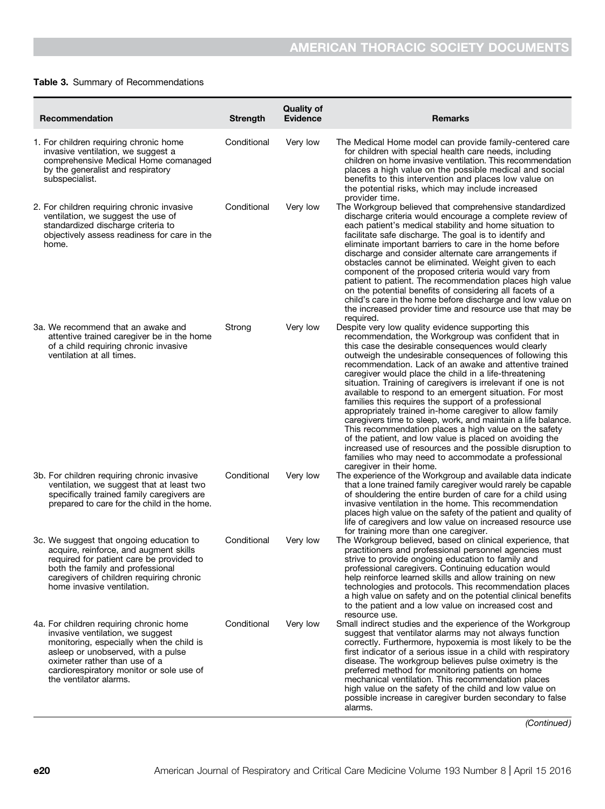## Table 3. Summary of Recommendations

| Recommendation                                                                                                                                                                                                                                                       | Strength    | <b>Quality of</b><br><b>Evidence</b> | <b>Remarks</b>                                                                                                                                                                                                                                                                                                                                                                                                                                                                                                                                                                                                                                                                                                                                                                                                                                                                                                                  |
|----------------------------------------------------------------------------------------------------------------------------------------------------------------------------------------------------------------------------------------------------------------------|-------------|--------------------------------------|---------------------------------------------------------------------------------------------------------------------------------------------------------------------------------------------------------------------------------------------------------------------------------------------------------------------------------------------------------------------------------------------------------------------------------------------------------------------------------------------------------------------------------------------------------------------------------------------------------------------------------------------------------------------------------------------------------------------------------------------------------------------------------------------------------------------------------------------------------------------------------------------------------------------------------|
| 1. For children requiring chronic home<br>invasive ventilation, we suggest a<br>comprehensive Medical Home comanaged<br>by the generalist and respiratory<br>subspecialist.                                                                                          | Conditional | Very low                             | The Medical Home model can provide family-centered care<br>for children with special health care needs, including<br>children on home invasive ventilation. This recommendation<br>places a high value on the possible medical and social<br>benefits to this intervention and places low value on<br>the potential risks, which may include increased<br>provider time.                                                                                                                                                                                                                                                                                                                                                                                                                                                                                                                                                        |
| 2. For children requiring chronic invasive<br>ventilation, we suggest the use of<br>standardized discharge criteria to<br>objectively assess readiness for care in the<br>home.                                                                                      | Conditional | Very low                             | The Workgroup believed that comprehensive standardized<br>discharge criteria would encourage a complete review of<br>each patient's medical stability and home situation to<br>facilitate safe discharge. The goal is to identify and<br>eliminate important barriers to care in the home before<br>discharge and consider alternate care arrangements if<br>obstacles cannot be eliminated. Weight given to each<br>component of the proposed criteria would vary from<br>patient to patient. The recommendation places high value<br>on the potential benefits of considering all facets of a<br>child's care in the home before discharge and low value on<br>the increased provider time and resource use that may be<br>required.                                                                                                                                                                                          |
| 3a. We recommend that an awake and<br>attentive trained caregiver be in the home<br>of a child requiring chronic invasive<br>ventilation at all times.                                                                                                               | Strong      | Very low                             | Despite very low quality evidence supporting this<br>recommendation, the Workgroup was confident that in<br>this case the desirable consequences would clearly<br>outweigh the undesirable consequences of following this<br>recommendation. Lack of an awake and attentive trained<br>caregiver would place the child in a life-threatening<br>situation. Training of caregivers is irrelevant if one is not<br>available to respond to an emergent situation. For most<br>families this requires the support of a professional<br>appropriately trained in-home caregiver to allow family<br>caregivers time to sleep, work, and maintain a life balance.<br>This recommendation places a high value on the safety<br>of the patient, and low value is placed on avoiding the<br>increased use of resources and the possible disruption to<br>families who may need to accommodate a professional<br>caregiver in their home. |
| 3b. For children requiring chronic invasive<br>ventilation, we suggest that at least two<br>specifically trained family caregivers are<br>prepared to care for the child in the home.                                                                                | Conditional | Very low                             | The experience of the Workgroup and available data indicate<br>that a lone trained family caregiver would rarely be capable<br>of shouldering the entire burden of care for a child using<br>invasive ventilation in the home. This recommendation<br>places high value on the safety of the patient and quality of<br>life of caregivers and low value on increased resource use<br>for training more than one caregiver.                                                                                                                                                                                                                                                                                                                                                                                                                                                                                                      |
| 3c. We suggest that ongoing education to<br>acquire, reinforce, and augment skills<br>required for patient care be provided to<br>both the family and professional<br>caregivers of children requiring chronic<br>home invasive ventilation.                         | Conditional | Very low                             | The Workgroup believed, based on clinical experience, that<br>practitioners and professional personnel agencies must<br>strive to provide ongoing education to family and<br>professional caregivers. Continuing education would<br>help reinforce learned skills and allow training on new<br>technologies and protocols. This recommendation places<br>a high value on safety and on the potential clinical benefits<br>to the patient and a low value on increased cost and<br>resource use.                                                                                                                                                                                                                                                                                                                                                                                                                                 |
| 4a. For children requiring chronic home<br>invasive ventilation, we suggest<br>monitoring, especially when the child is<br>asleep or unobserved, with a pulse<br>oximeter rather than use of a<br>cardiorespiratory monitor or sole use of<br>the ventilator alarms. | Conditional | Very low                             | Small indirect studies and the experience of the Workgroup<br>suggest that ventilator alarms may not always function<br>correctly. Furthermore, hypoxemia is most likely to be the<br>first indicator of a serious issue in a child with respiratory<br>disease. The workgroup believes pulse oximetry is the<br>preferred method for monitoring patients on home<br>mechanical ventilation. This recommendation places<br>high value on the safety of the child and low value on<br>possible increase in caregiver burden secondary to false<br>alarms.                                                                                                                                                                                                                                                                                                                                                                        |

(Continued)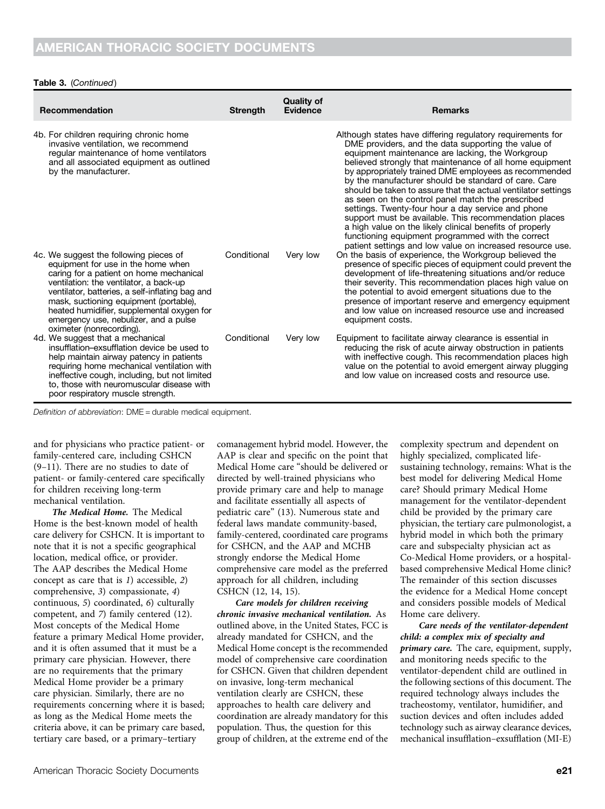#### Table 3. (Continued)

| Recommendation                                                                                                                                                                                                                                                                                                                                                                    | <b>Strength</b> | <b>Quality of</b><br><b>Evidence</b> | <b>Remarks</b>                                                                                                                                                                                                                                                                                                                                                                                                                                                                                                                                                                                                                                                                                                                                                        |
|-----------------------------------------------------------------------------------------------------------------------------------------------------------------------------------------------------------------------------------------------------------------------------------------------------------------------------------------------------------------------------------|-----------------|--------------------------------------|-----------------------------------------------------------------------------------------------------------------------------------------------------------------------------------------------------------------------------------------------------------------------------------------------------------------------------------------------------------------------------------------------------------------------------------------------------------------------------------------------------------------------------------------------------------------------------------------------------------------------------------------------------------------------------------------------------------------------------------------------------------------------|
| 4b. For children requiring chronic home<br>invasive ventilation, we recommend<br>regular maintenance of home ventilators<br>and all associated equipment as outlined<br>by the manufacturer.                                                                                                                                                                                      |                 |                                      | Although states have differing regulatory requirements for<br>DME providers, and the data supporting the value of<br>equipment maintenance are lacking, the Workgroup<br>believed strongly that maintenance of all home equipment<br>by appropriately trained DME employees as recommended<br>by the manufacturer should be standard of care. Care<br>should be taken to assure that the actual ventilator settings<br>as seen on the control panel match the prescribed<br>settings. Twenty-four hour a day service and phone<br>support must be available. This recommendation places<br>a high value on the likely clinical benefits of properly<br>functioning equipment programmed with the correct<br>patient settings and low value on increased resource use. |
| 4c. We suggest the following pieces of<br>equipment for use in the home when<br>caring for a patient on home mechanical<br>ventilation: the ventilator, a back-up<br>ventilator, batteries, a self-inflating bag and<br>mask, suctioning equipment (portable),<br>heated humidifier, supplemental oxygen for<br>emergency use, nebulizer, and a pulse<br>oximeter (nonrecording). | Conditional     | Very low                             | On the basis of experience, the Workgroup believed the<br>presence of specific pieces of equipment could prevent the<br>development of life-threatening situations and/or reduce<br>their severity. This recommendation places high value on<br>the potential to avoid emergent situations due to the<br>presence of important reserve and emergency equipment<br>and low value on increased resource use and increased<br>equipment costs.                                                                                                                                                                                                                                                                                                                           |
| 4d. We suggest that a mechanical<br>insufflation-exsufflation device be used to<br>help maintain airway patency in patients<br>requiring home mechanical ventilation with<br>ineffective cough, including, but not limited<br>to, those with neuromuscular disease with<br>poor respiratory muscle strength.                                                                      | Conditional     | Very low                             | Equipment to facilitate airway clearance is essential in<br>reducing the risk of acute airway obstruction in patients<br>with ineffective cough. This recommendation places high<br>value on the potential to avoid emergent airway plugging<br>and low value on increased costs and resource use.                                                                                                                                                                                                                                                                                                                                                                                                                                                                    |

Definition of abbreviation: DME = durable medical equipment.

and for physicians who practice patient- or family-centered care, including CSHCN (9–11). There are no studies to date of patient- or family-centered care specifically for children receiving long-term mechanical ventilation.

The Medical Home. The Medical Home is the best-known model of health care delivery for CSHCN. It is important to note that it is not a specific geographical location, medical office, or provider. The AAP describes the Medical Home concept as care that is 1) accessible, 2) comprehensive, 3) compassionate, 4) continuous, 5) coordinated, 6) culturally competent, and 7) family centered (12). Most concepts of the Medical Home feature a primary Medical Home provider, and it is often assumed that it must be a primary care physician. However, there are no requirements that the primary Medical Home provider be a primary care physician. Similarly, there are no requirements concerning where it is based; as long as the Medical Home meets the criteria above, it can be primary care based, tertiary care based, or a primary–tertiary

comanagement hybrid model. However, the AAP is clear and specific on the point that Medical Home care "should be delivered or directed by well-trained physicians who provide primary care and help to manage and facilitate essentially all aspects of pediatric care" (13). Numerous state and federal laws mandate community-based, family-centered, coordinated care programs for CSHCN, and the AAP and MCHB strongly endorse the Medical Home comprehensive care model as the preferred approach for all children, including CSHCN (12, 14, 15).

Care models for children receiving chronic invasive mechanical ventilation. As outlined above, in the United States, FCC is already mandated for CSHCN, and the Medical Home concept is the recommended model of comprehensive care coordination for CSHCN. Given that children dependent on invasive, long-term mechanical ventilation clearly are CSHCN, these approaches to health care delivery and coordination are already mandatory for this population. Thus, the question for this group of children, at the extreme end of the complexity spectrum and dependent on highly specialized, complicated lifesustaining technology, remains: What is the best model for delivering Medical Home care? Should primary Medical Home management for the ventilator-dependent child be provided by the primary care physician, the tertiary care pulmonologist, a hybrid model in which both the primary care and subspecialty physician act as Co-Medical Home providers, or a hospitalbased comprehensive Medical Home clinic? The remainder of this section discusses the evidence for a Medical Home concept and considers possible models of Medical Home care delivery.

Care needs of the ventilator-dependent child: a complex mix of specialty and primary care. The care, equipment, supply, and monitoring needs specific to the ventilator-dependent child are outlined in the following sections of this document. The required technology always includes the tracheostomy, ventilator, humidifier, and suction devices and often includes added technology such as airway clearance devices, mechanical insufflation–exsufflation (MI-E)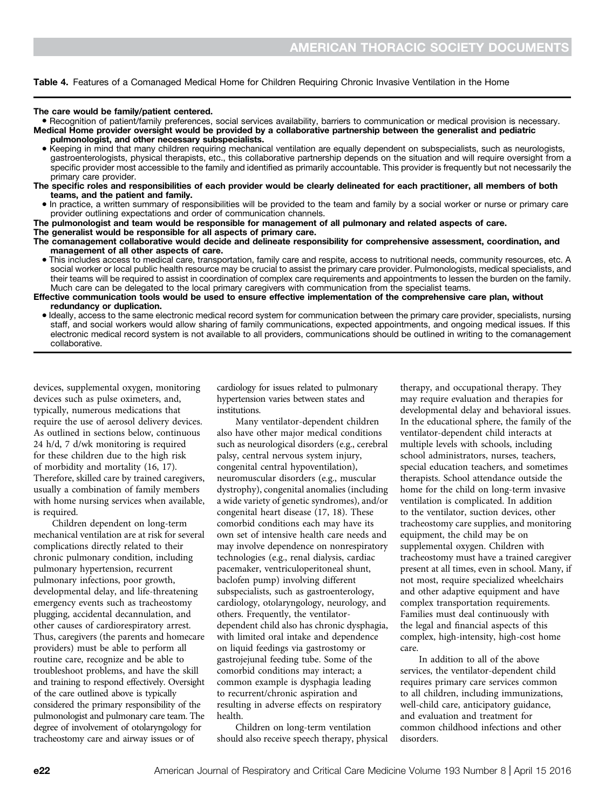Table 4. Features of a Comanaged Medical Home for Children Requiring Chronic Invasive Ventilation in the Home

#### The care would be family/patient centered.

<sup>d</sup> Recognition of patient/family preferences, social services availability, barriers to communication or medical provision is necessary. Medical Home provider oversight would be provided by a collaborative partnership between the generalist and pediatric pulmonologist, and other necessary subspecialists.

The specific roles and responsibilities of each provider would be clearly delineated for each practitioner, all members of both teams, and the patient and family.

<sup>d</sup> In practice, a written summary of responsibilities will be provided to the team and family by a social worker or nurse or primary care provider outlining expectations and order of communication channels.

The pulmonologist and team would be responsible for management of all pulmonary and related aspects of care.

The generalist would be responsible for all aspects of primary care.

The comanagement collaborative would decide and delineate responsibility for comprehensive assessment, coordination, and management of all other aspects of care.

- <sup>d</sup> This includes access to medical care, transportation, family care and respite, access to nutritional needs, community resources, etc. A social worker or local public health resource may be crucial to assist the primary care provider. Pulmonologists, medical specialists, and their teams will be required to assist in coordination of complex care requirements and appointments to lessen the burden on the family. Much care can be delegated to the local primary caregivers with communication from the specialist teams.
- Effective communication tools would be used to ensure effective implementation of the comprehensive care plan, without redundancy or duplication.
	- <sup>d</sup> Ideally, access to the same electronic medical record system for communication between the primary care provider, specialists, nursing staff, and social workers would allow sharing of family communications, expected appointments, and ongoing medical issues. If this electronic medical record system is not available to all providers, communications should be outlined in writing to the comanagement collaborative.

devices, supplemental oxygen, monitoring devices such as pulse oximeters, and, typically, numerous medications that require the use of aerosol delivery devices. As outlined in sections below, continuous 24 h/d, 7 d/wk monitoring is required for these children due to the high risk of morbidity and mortality (16, 17). Therefore, skilled care by trained caregivers, usually a combination of family members with home nursing services when available, is required.

Children dependent on long-term mechanical ventilation are at risk for several complications directly related to their chronic pulmonary condition, including pulmonary hypertension, recurrent pulmonary infections, poor growth, developmental delay, and life-threatening emergency events such as tracheostomy plugging, accidental decannulation, and other causes of cardiorespiratory arrest. Thus, caregivers (the parents and homecare providers) must be able to perform all routine care, recognize and be able to troubleshoot problems, and have the skill and training to respond effectively. Oversight of the care outlined above is typically considered the primary responsibility of the pulmonologist and pulmonary care team. The degree of involvement of otolaryngology for tracheostomy care and airway issues or of

cardiology for issues related to pulmonary hypertension varies between states and institutions.

Many ventilator-dependent children also have other major medical conditions such as neurological disorders (e.g., cerebral palsy, central nervous system injury, congenital central hypoventilation), neuromuscular disorders (e.g., muscular dystrophy), congenital anomalies (including a wide variety of genetic syndromes), and/or congenital heart disease (17, 18). These comorbid conditions each may have its own set of intensive health care needs and may involve dependence on nonrespiratory technologies (e.g., renal dialysis, cardiac pacemaker, ventriculoperitoneal shunt, baclofen pump) involving different subspecialists, such as gastroenterology, cardiology, otolaryngology, neurology, and others. Frequently, the ventilatordependent child also has chronic dysphagia, with limited oral intake and dependence on liquid feedings via gastrostomy or gastrojejunal feeding tube. Some of the comorbid conditions may interact; a common example is dysphagia leading to recurrent/chronic aspiration and resulting in adverse effects on respiratory health.

Children on long-term ventilation should also receive speech therapy, physical

therapy, and occupational therapy. They may require evaluation and therapies for developmental delay and behavioral issues. In the educational sphere, the family of the ventilator-dependent child interacts at multiple levels with schools, including school administrators, nurses, teachers, special education teachers, and sometimes therapists. School attendance outside the home for the child on long-term invasive ventilation is complicated. In addition to the ventilator, suction devices, other tracheostomy care supplies, and monitoring equipment, the child may be on supplemental oxygen. Children with tracheostomy must have a trained caregiver present at all times, even in school. Many, if not most, require specialized wheelchairs and other adaptive equipment and have complex transportation requirements. Families must deal continuously with the legal and financial aspects of this complex, high-intensity, high-cost home care.

In addition to all of the above services, the ventilator-dependent child requires primary care services common to all children, including immunizations, well-child care, anticipatory guidance, and evaluation and treatment for common childhood infections and other disorders.

<sup>d</sup> Keeping in mind that many children requiring mechanical ventilation are equally dependent on subspecialists, such as neurologists, gastroenterologists, physical therapists, etc., this collaborative partnership depends on the situation and will require oversight from a specific provider most accessible to the family and identified as primarily accountable. This provider is frequently but not necessarily the primary care provider.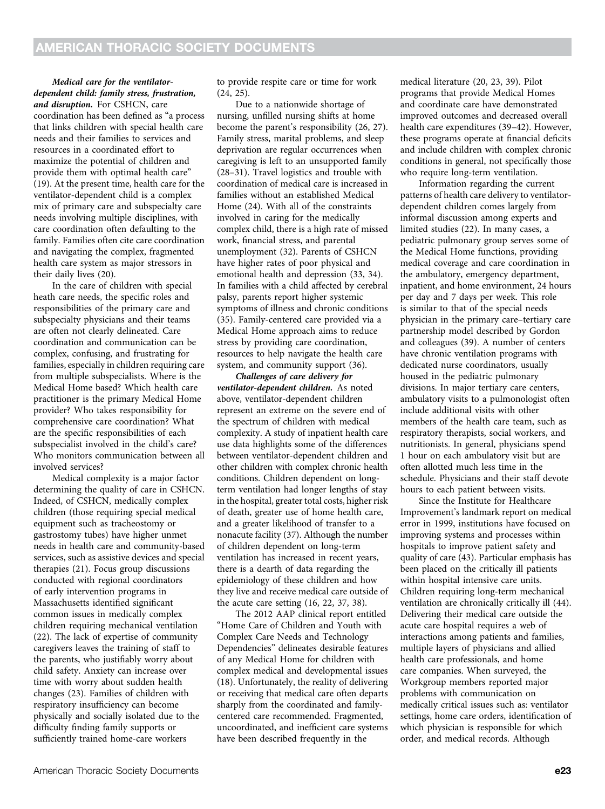Medical care for the ventilatordependent child: family stress, frustration, and disruption. For CSHCN, care coordination has been defined as "a process that links children with special health care needs and their families to services and resources in a coordinated effort to maximize the potential of children and provide them with optimal health care" (19). At the present time, health care for the ventilator-dependent child is a complex mix of primary care and subspecialty care needs involving multiple disciplines, with care coordination often defaulting to the family. Families often cite care coordination and navigating the complex, fragmented health care system as major stressors in their daily lives (20).

In the care of children with special heath care needs, the specific roles and responsibilities of the primary care and subspecialty physicians and their teams are often not clearly delineated. Care coordination and communication can be complex, confusing, and frustrating for families, especially in children requiring care from multiple subspecialists. Where is the Medical Home based? Which health care practitioner is the primary Medical Home provider? Who takes responsibility for comprehensive care coordination? What are the specific responsibilities of each subspecialist involved in the child's care? Who monitors communication between all involved services?

Medical complexity is a major factor determining the quality of care in CSHCN. Indeed, of CSHCN, medically complex children (those requiring special medical equipment such as tracheostomy or gastrostomy tubes) have higher unmet needs in health care and community-based services, such as assistive devices and special therapies (21). Focus group discussions conducted with regional coordinators of early intervention programs in Massachusetts identified significant common issues in medically complex children requiring mechanical ventilation (22). The lack of expertise of community caregivers leaves the training of staff to the parents, who justifiably worry about child safety. Anxiety can increase over time with worry about sudden health changes (23). Families of children with respiratory insufficiency can become physically and socially isolated due to the difficulty finding family supports or sufficiently trained home-care workers

to provide respite care or time for work (24, 25).

Due to a nationwide shortage of nursing, unfilled nursing shifts at home become the parent's responsibility (26, 27). Family stress, marital problems, and sleep deprivation are regular occurrences when caregiving is left to an unsupported family (28–31). Travel logistics and trouble with coordination of medical care is increased in families without an established Medical Home (24). With all of the constraints involved in caring for the medically complex child, there is a high rate of missed work, financial stress, and parental unemployment (32). Parents of CSHCN have higher rates of poor physical and emotional health and depression (33, 34). In families with a child affected by cerebral palsy, parents report higher systemic symptoms of illness and chronic conditions (35). Family-centered care provided via a Medical Home approach aims to reduce stress by providing care coordination, resources to help navigate the health care system, and community support (36).

Challenges of care delivery for ventilator-dependent children. As noted above, ventilator-dependent children represent an extreme on the severe end of the spectrum of children with medical complexity. A study of inpatient health care use data highlights some of the differences between ventilator-dependent children and other children with complex chronic health conditions. Children dependent on longterm ventilation had longer lengths of stay in the hospital, greater total costs, higher risk of death, greater use of home health care, and a greater likelihood of transfer to a nonacute facility (37). Although the number of children dependent on long-term ventilation has increased in recent years, there is a dearth of data regarding the epidemiology of these children and how they live and receive medical care outside of the acute care setting (16, 22, 37, 38).

The 2012 AAP clinical report entitled "Home Care of Children and Youth with Complex Care Needs and Technology Dependencies" delineates desirable features of any Medical Home for children with complex medical and developmental issues (18). Unfortunately, the reality of delivering or receiving that medical care often departs sharply from the coordinated and familycentered care recommended. Fragmented, uncoordinated, and inefficient care systems have been described frequently in the

medical literature (20, 23, 39). Pilot programs that provide Medical Homes and coordinate care have demonstrated improved outcomes and decreased overall health care expenditures (39–42). However, these programs operate at financial deficits and include children with complex chronic conditions in general, not specifically those who require long-term ventilation.

Information regarding the current patterns of health care delivery to ventilatordependent children comes largely from informal discussion among experts and limited studies (22). In many cases, a pediatric pulmonary group serves some of the Medical Home functions, providing medical coverage and care coordination in the ambulatory, emergency department, inpatient, and home environment, 24 hours per day and 7 days per week. This role is similar to that of the special needs physician in the primary care–tertiary care partnership model described by Gordon and colleagues (39). A number of centers have chronic ventilation programs with dedicated nurse coordinators, usually housed in the pediatric pulmonary divisions. In major tertiary care centers, ambulatory visits to a pulmonologist often include additional visits with other members of the health care team, such as respiratory therapists, social workers, and nutritionists. In general, physicians spend 1 hour on each ambulatory visit but are often allotted much less time in the schedule. Physicians and their staff devote hours to each patient between visits.

Since the Institute for Healthcare Improvement's landmark report on medical error in 1999, institutions have focused on improving systems and processes within hospitals to improve patient safety and quality of care (43). Particular emphasis has been placed on the critically ill patients within hospital intensive care units. Children requiring long-term mechanical ventilation are chronically critically ill (44). Delivering their medical care outside the acute care hospital requires a web of interactions among patients and families, multiple layers of physicians and allied health care professionals, and home care companies. When surveyed, the Workgroup members reported major problems with communication on medically critical issues such as: ventilator settings, home care orders, identification of which physician is responsible for which order, and medical records. Although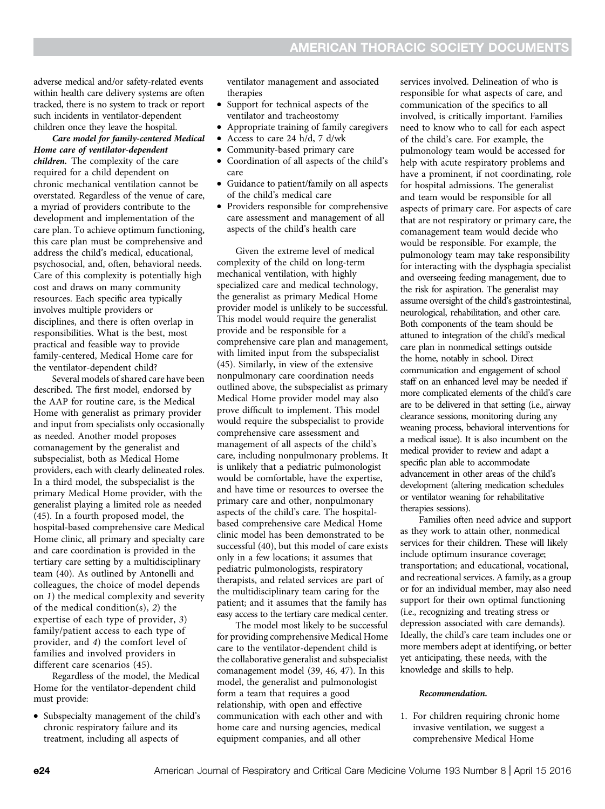adverse medical and/or safety-related events within health care delivery systems are often tracked, there is no system to track or report such incidents in ventilator-dependent children once they leave the hospital.

Care model for family-centered Medical Home care of ventilator-dependent children. The complexity of the care required for a child dependent on chronic mechanical ventilation cannot be overstated. Regardless of the venue of care, a myriad of providers contribute to the development and implementation of the care plan. To achieve optimum functioning, this care plan must be comprehensive and address the child's medical, educational, psychosocial, and, often, behavioral needs. Care of this complexity is potentially high cost and draws on many community resources. Each specific area typically involves multiple providers or disciplines, and there is often overlap in responsibilities. What is the best, most practical and feasible way to provide family-centered, Medical Home care for the ventilator-dependent child?

Several models of shared care have been described. The first model, endorsed by the AAP for routine care, is the Medical Home with generalist as primary provider and input from specialists only occasionally as needed. Another model proposes comanagement by the generalist and subspecialist, both as Medical Home providers, each with clearly delineated roles. In a third model, the subspecialist is the primary Medical Home provider, with the generalist playing a limited role as needed (45). In a fourth proposed model, the hospital-based comprehensive care Medical Home clinic, all primary and specialty care and care coordination is provided in the tertiary care setting by a multidisciplinary team (40). As outlined by Antonelli and colleagues, the choice of model depends on 1) the medical complexity and severity of the medical condition(s), 2) the expertise of each type of provider, 3) family/patient access to each type of provider, and 4) the comfort level of families and involved providers in different care scenarios (45).

Regardless of the model, the Medical Home for the ventilator-dependent child must provide:

• Subspecialty management of the child's chronic respiratory failure and its treatment, including all aspects of

ventilator management and associated therapies

- Support for technical aspects of the ventilator and tracheostomy
- Appropriate training of family caregivers
- Access to care 24 h/d, 7 d/wk
- Community-based primary care
- Coordination of all aspects of the child's care
- Guidance to patient/family on all aspects of the child's medical care
- Providers responsible for comprehensive care assessment and management of all aspects of the child's health care

Given the extreme level of medical complexity of the child on long-term mechanical ventilation, with highly specialized care and medical technology, the generalist as primary Medical Home provider model is unlikely to be successful. This model would require the generalist provide and be responsible for a comprehensive care plan and management, with limited input from the subspecialist (45). Similarly, in view of the extensive nonpulmonary care coordination needs outlined above, the subspecialist as primary Medical Home provider model may also prove difficult to implement. This model would require the subspecialist to provide comprehensive care assessment and management of all aspects of the child's care, including nonpulmonary problems. It is unlikely that a pediatric pulmonologist would be comfortable, have the expertise, and have time or resources to oversee the primary care and other, nonpulmonary aspects of the child's care. The hospitalbased comprehensive care Medical Home clinic model has been demonstrated to be successful (40), but this model of care exists only in a few locations; it assumes that pediatric pulmonologists, respiratory therapists, and related services are part of the multidisciplinary team caring for the patient; and it assumes that the family has easy access to the tertiary care medical center.

The model most likely to be successful for providing comprehensive Medical Home care to the ventilator-dependent child is the collaborative generalist and subspecialist comanagement model (39, 46, 47). In this model, the generalist and pulmonologist form a team that requires a good relationship, with open and effective communication with each other and with home care and nursing agencies, medical equipment companies, and all other

services involved. Delineation of who is responsible for what aspects of care, and communication of the specifics to all involved, is critically important. Families need to know who to call for each aspect of the child's care. For example, the pulmonology team would be accessed for help with acute respiratory problems and have a prominent, if not coordinating, role for hospital admissions. The generalist and team would be responsible for all aspects of primary care. For aspects of care that are not respiratory or primary care, the comanagement team would decide who would be responsible. For example, the pulmonology team may take responsibility for interacting with the dysphagia specialist and overseeing feeding management, due to the risk for aspiration. The generalist may assume oversight of the child's gastrointestinal, neurological, rehabilitation, and other care. Both components of the team should be attuned to integration of the child's medical care plan in nonmedical settings outside the home, notably in school. Direct communication and engagement of school staff on an enhanced level may be needed if more complicated elements of the child's care are to be delivered in that setting (i.e., airway clearance sessions, monitoring during any weaning process, behavioral interventions for a medical issue). It is also incumbent on the medical provider to review and adapt a specific plan able to accommodate advancement in other areas of the child's development (altering medication schedules or ventilator weaning for rehabilitative therapies sessions).

Families often need advice and support as they work to attain other, nonmedical services for their children. These will likely include optimum insurance coverage; transportation; and educational, vocational, and recreational services. A family, as a group or for an individual member, may also need support for their own optimal functioning (i.e., recognizing and treating stress or depression associated with care demands). Ideally, the child's care team includes one or more members adept at identifying, or better yet anticipating, these needs, with the knowledge and skills to help.

#### Recommendation.

1. For children requiring chronic home invasive ventilation, we suggest a comprehensive Medical Home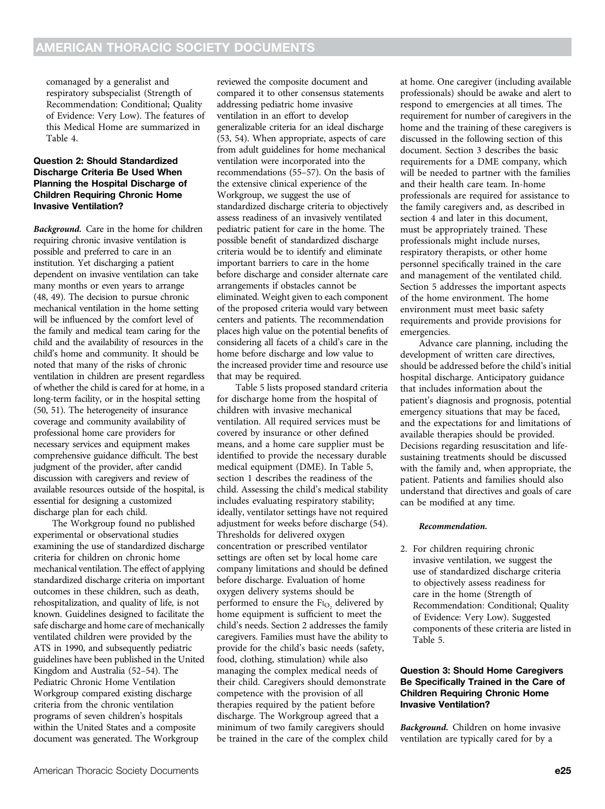comanaged by a generalist and respiratory subspecialist (Strength of Recommendation: Conditional; Quality of Evidence: Very Low). The features of this Medical Home are summarized in Table 4.

## Question 2: Should Standardized Discharge Criteria Be Used When Planning the Hospital Discharge of Children Requiring Chronic Home Invasive Ventilation?

Background. Care in the home for children requiring chronic invasive ventilation is possible and preferred to care in an institution. Yet discharging a patient dependent on invasive ventilation can take many months or even years to arrange (48, 49). The decision to pursue chronic mechanical ventilation in the home setting will be influenced by the comfort level of the family and medical team caring for the child and the availability of resources in the child's home and community. It should be noted that many of the risks of chronic ventilation in children are present regardless of whether the child is cared for at home, in a long-term facility, or in the hospital setting (50, 51). The heterogeneity of insurance coverage and community availability of professional home care providers for necessary services and equipment makes comprehensive guidance difficult. The best judgment of the provider, after candid discussion with caregivers and review of available resources outside of the hospital, is essential for designing a customized discharge plan for each child.

The Workgroup found no published experimental or observational studies examining the use of standardized discharge criteria for children on chronic home mechanical ventilation. The effect of applying standardized discharge criteria on important outcomes in these children, such as death, rehospitalization, and quality of life, is not known. Guidelines designed to facilitate the safe discharge and home care of mechanically ventilated children were provided by the ATS in 1990, and subsequently pediatric guidelines have been published in the United Kingdom and Australia (52–54). The Pediatric Chronic Home Ventilation Workgroup compared existing discharge criteria from the chronic ventilation programs of seven children's hospitals within the United States and a composite document was generated. The Workgroup

reviewed the composite document and compared it to other consensus statements addressing pediatric home invasive ventilation in an effort to develop generalizable criteria for an ideal discharge (53, 54). When appropriate, aspects of care from adult guidelines for home mechanical ventilation were incorporated into the recommendations (55–57). On the basis of the extensive clinical experience of the Workgroup, we suggest the use of standardized discharge criteria to objectively assess readiness of an invasively ventilated pediatric patient for care in the home. The possible benefit of standardized discharge criteria would be to identify and eliminate important barriers to care in the home before discharge and consider alternate care arrangements if obstacles cannot be eliminated. Weight given to each component of the proposed criteria would vary between centers and patients. The recommendation places high value on the potential benefits of considering all facets of a child's care in the home before discharge and low value to the increased provider time and resource use that may be required.

Table 5 lists proposed standard criteria for discharge home from the hospital of children with invasive mechanical ventilation. All required services must be covered by insurance or other defined means, and a home care supplier must be identified to provide the necessary durable medical equipment (DME). In Table 5, section 1 describes the readiness of the child. Assessing the child's medical stability includes evaluating respiratory stability; ideally, ventilator settings have not required adjustment for weeks before discharge (54). Thresholds for delivered oxygen concentration or prescribed ventilator settings are often set by local home care company limitations and should be defined before discharge. Evaluation of home oxygen delivery systems should be performed to ensure the  $Fi_{O_2}$  delivered by home equipment is sufficient to meet the child's needs. Section 2 addresses the family caregivers. Families must have the ability to provide for the child's basic needs (safety, food, clothing, stimulation) while also managing the complex medical needs of their child. Caregivers should demonstrate competence with the provision of all therapies required by the patient before discharge. The Workgroup agreed that a minimum of two family caregivers should be trained in the care of the complex child

at home. One caregiver (including available professionals) should be awake and alert to respond to emergencies at all times. The requirement for number of caregivers in the home and the training of these caregivers is discussed in the following section of this document. Section 3 describes the basic requirements for a DME company, which will be needed to partner with the families and their health care team. In-home professionals are required for assistance to the family caregivers and, as described in section 4 and later in this document, must be appropriately trained. These professionals might include nurses, respiratory therapists, or other home personnel specifically trained in the care and management of the ventilated child. Section 5 addresses the important aspects of the home environment. The home environment must meet basic safety requirements and provide provisions for emergencies.

Advance care planning, including the development of written care directives, should be addressed before the child's initial hospital discharge. Anticipatory guidance that includes information about the patient's diagnosis and prognosis, potential emergency situations that may be faced, and the expectations for and limitations of available therapies should be provided. Decisions regarding resuscitation and lifesustaining treatments should be discussed with the family and, when appropriate, the patient. Patients and families should also understand that directives and goals of care can be modified at any time.

### Recommendation.

2. For children requiring chronic invasive ventilation, we suggest the use of standardized discharge criteria to objectively assess readiness for care in the home (Strength of Recommendation: Conditional; Quality of Evidence: Very Low). Suggested components of these criteria are listed in Table 5.

## Question 3: Should Home Caregivers Be Specifically Trained in the Care of Children Requiring Chronic Home Invasive Ventilation?

Background. Children on home invasive ventilation are typically cared for by a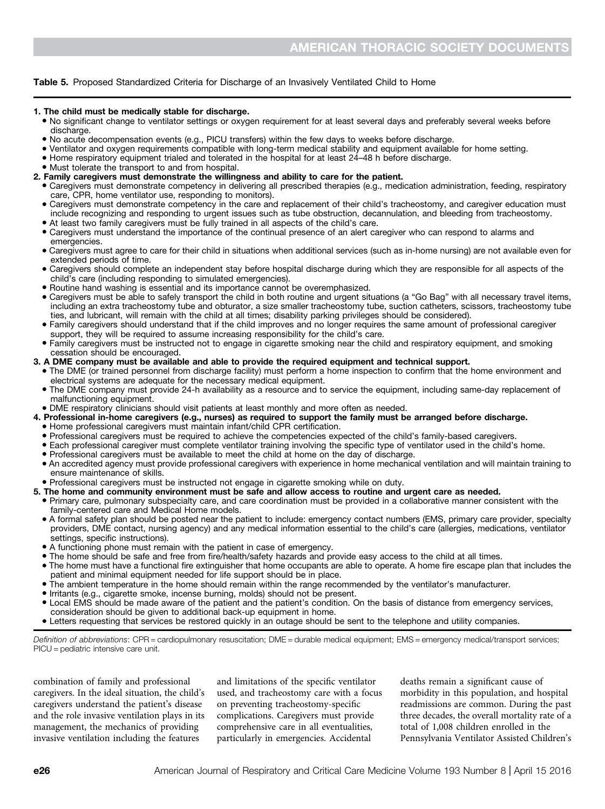## Table 5. Proposed Standardized Criteria for Discharge of an Invasively Ventilated Child to Home

#### 1. The child must be medically stable for discharge.

- No significant change to ventilator settings or oxygen requirement for at least several days and preferably several weeks before discharge.
- <sup>d</sup> No acute decompensation events (e.g., PICU transfers) within the few days to weeks before discharge.
- <sup>d</sup> Ventilator and oxygen requirements compatible with long-term medical stability and equipment available for home setting.
- <sup>d</sup> Home respiratory equipment trialed and tolerated in the hospital for at least 24–48 h before discharge.
- Must tolerate the transport to and from hospital.
- 2. Family caregivers must demonstrate the willingness and ability to care for the patient.
	- <sup>d</sup> Caregivers must demonstrate competency in delivering all prescribed therapies (e.g., medication administration, feeding, respiratory care, CPR, home ventilator use, responding to monitors).
	- Caregivers must demonstrate competency in the care and replacement of their child's tracheostomy, and caregiver education must include recognizing and responding to urgent issues such as tube obstruction, decannulation, and bleeding from tracheostomy.
	- At least two family caregivers must be fully trained in all aspects of the child's care.
	- Caregivers must understand the importance of the continual presence of an alert caregiver who can respond to alarms and emergencies.
	- Caregivers must agree to care for their child in situations when additional services (such as in-home nursing) are not available even for extended periods of time.
	- Caregivers should complete an independent stay before hospital discharge during which they are responsible for all aspects of the child's care (including responding to simulated emergencies).
	- Routine hand washing is essential and its importance cannot be overemphasized.
	- Caregivers must be able to safely transport the child in both routine and urgent situations (a "Go Bag" with all necessary travel items, including an extra tracheostomy tube and obturator, a size smaller tracheostomy tube, suction catheters, scissors, tracheostomy tube ties, and lubricant, will remain with the child at all times; disability parking privileges should be considered).
	- <sup>d</sup> Family caregivers should understand that if the child improves and no longer requires the same amount of professional caregiver support, they will be required to assume increasing responsibility for the child's care.
	- <sup>d</sup> Family caregivers must be instructed not to engage in cigarette smoking near the child and respiratory equipment, and smoking cessation should be encouraged.
- 3. A DME company must be available and able to provide the required equipment and technical support.
	- The DME (or trained personnel from discharge facility) must perform a home inspection to confirm that the home environment and electrical systems are adequate for the necessary medical equipment.
	- The DME company must provide 24-h availability as a resource and to service the equipment, including same-day replacement of malfunctioning equipment.
- DME respiratory clinicians should visit patients at least monthly and more often as needed.
- 4. Professional in-home caregivers (e.g., nurses) as required to support the family must be arranged before discharge.
- <sup>d</sup> Home professional caregivers must maintain infant/child CPR certification.
- <sup>d</sup> Professional caregivers must be required to achieve the competencies expected of the child's family-based caregivers.
- <sup>d</sup> Each professional caregiver must complete ventilator training involving the specific type of ventilator used in the child's home.
- <sup>d</sup> Professional caregivers must be available to meet the child at home on the day of discharge. <sup>d</sup> An accredited agency must provide professional caregivers with experience in home mechanical ventilation and will maintain training to
- ensure maintenance of skills.
- <sup>d</sup> Professional caregivers must be instructed not engage in cigarette smoking while on duty.
- 5. The home and community environment must be safe and allow access to routine and urgent care as needed.
	- <sup>d</sup> Primary care, pulmonary subspecialty care, and care coordination must be provided in a collaborative manner consistent with the family-centered care and Medical Home models.
	- <sup>d</sup> A formal safety plan should be posted near the patient to include: emergency contact numbers (EMS, primary care provider, specialty providers, DME contact, nursing agency) and any medical information essential to the child's care (allergies, medications, ventilator settings, specific instructions).
	- A functioning phone must remain with the patient in case of emergency.
	- <sup>d</sup> The home should be safe and free from fire/health/safety hazards and provide easy access to the child at all times.
	- <sup>d</sup> The home must have a functional fire extinguisher that home occupants are able to operate. A home fire escape plan that includes the patient and minimal equipment needed for life support should be in place.
	- The ambient temperature in the home should remain within the range recommended by the ventilator's manufacturer.
	- <sup>d</sup> Irritants (e.g., cigarette smoke, incense burning, molds) should not be present.
	- Local EMS should be made aware of the patient and the patient's condition. On the basis of distance from emergency services, consideration should be given to additional back-up equipment in home.
	- <sup>d</sup> Letters requesting that services be restored quickly in an outage should be sent to the telephone and utility companies.

Definition of abbreviations: CPR = cardiopulmonary resuscitation; DME = durable medical equipment; EMS = emergency medical/transport services; PICU = pediatric intensive care unit.

combination of family and professional caregivers. In the ideal situation, the child's caregivers understand the patient's disease and the role invasive ventilation plays in its management, the mechanics of providing invasive ventilation including the features

and limitations of the specific ventilator used, and tracheostomy care with a focus on preventing tracheostomy-specific complications. Caregivers must provide comprehensive care in all eventualities, particularly in emergencies. Accidental

deaths remain a significant cause of morbidity in this population, and hospital readmissions are common. During the past three decades, the overall mortality rate of a total of 1,008 children enrolled in the Pennsylvania Ventilator Assisted Children's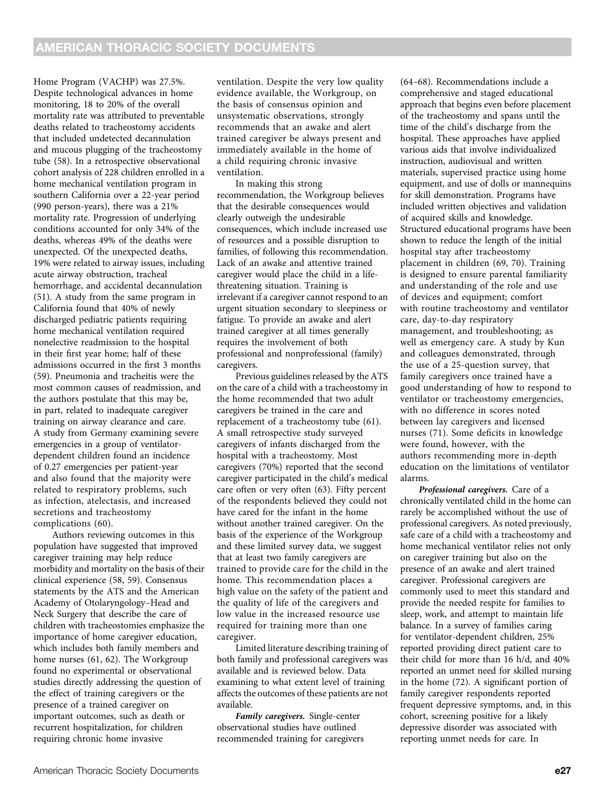Home Program (VACHP) was 27.5%. Despite technological advances in home monitoring, 18 to 20% of the overall mortality rate was attributed to preventable deaths related to tracheostomy accidents that included undetected decannulation and mucous plugging of the tracheostomy tube (58). In a retrospective observational cohort analysis of 228 children enrolled in a home mechanical ventilation program in southern California over a 22-year period (990 person-years), there was a 21% mortality rate. Progression of underlying conditions accounted for only 34% of the deaths, whereas 49% of the deaths were unexpected. Of the unexpected deaths, 19% were related to airway issues, including acute airway obstruction, tracheal hemorrhage, and accidental decannulation (51). A study from the same program in California found that 40% of newly discharged pediatric patients requiring home mechanical ventilation required nonelective readmission to the hospital in their first year home; half of these admissions occurred in the first 3 months (59). Pneumonia and tracheitis were the most common causes of readmission, and the authors postulate that this may be, in part, related to inadequate caregiver training on airway clearance and care. A study from Germany examining severe emergencies in a group of ventilatordependent children found an incidence of 0.27 emergencies per patient-year and also found that the majority were related to respiratory problems, such as infection, atelectasis, and increased secretions and tracheostomy complications (60).

Authors reviewing outcomes in this population have suggested that improved caregiver training may help reduce morbidity and mortality on the basis of their clinical experience (58, 59). Consensus statements by the ATS and the American Academy of Otolaryngology–Head and Neck Surgery that describe the care of children with tracheostomies emphasize the importance of home caregiver education, which includes both family members and home nurses (61, 62). The Workgroup found no experimental or observational studies directly addressing the question of the effect of training caregivers or the presence of a trained caregiver on important outcomes, such as death or recurrent hospitalization, for children requiring chronic home invasive

ventilation. Despite the very low quality evidence available, the Workgroup, on the basis of consensus opinion and unsystematic observations, strongly recommends that an awake and alert trained caregiver be always present and immediately available in the home of a child requiring chronic invasive ventilation.

In making this strong recommendation, the Workgroup believes that the desirable consequences would clearly outweigh the undesirable consequences, which include increased use of resources and a possible disruption to families, of following this recommendation. Lack of an awake and attentive trained caregiver would place the child in a lifethreatening situation. Training is irrelevant if a caregiver cannot respond to an urgent situation secondary to sleepiness or fatigue. To provide an awake and alert trained caregiver at all times generally requires the involvement of both professional and nonprofessional (family) caregivers.

Previous guidelines released by the ATS on the care of a child with a tracheostomy in the home recommended that two adult caregivers be trained in the care and replacement of a tracheostomy tube (61). A small retrospective study surveyed caregivers of infants discharged from the hospital with a tracheostomy. Most caregivers (70%) reported that the second caregiver participated in the child's medical care often or very often (63). Fifty percent of the respondents believed they could not have cared for the infant in the home without another trained caregiver. On the basis of the experience of the Workgroup and these limited survey data, we suggest that at least two family caregivers are trained to provide care for the child in the home. This recommendation places a high value on the safety of the patient and the quality of life of the caregivers and low value in the increased resource use required for training more than one caregiver.

Limited literature describing training of both family and professional caregivers was available and is reviewed below. Data examining to what extent level of training affects the outcomes of these patients are not available.

Family caregivers. Single-center observational studies have outlined recommended training for caregivers

(64–68). Recommendations include a comprehensive and staged educational approach that begins even before placement of the tracheostomy and spans until the time of the child's discharge from the hospital. These approaches have applied various aids that involve individualized instruction, audiovisual and written materials, supervised practice using home equipment, and use of dolls or mannequins for skill demonstration. Programs have included written objectives and validation of acquired skills and knowledge. Structured educational programs have been shown to reduce the length of the initial hospital stay after tracheostomy placement in children (69, 70). Training is designed to ensure parental familiarity and understanding of the role and use of devices and equipment; comfort with routine tracheostomy and ventilator care, day-to-day respiratory management, and troubleshooting; as well as emergency care. A study by Kun and colleagues demonstrated, through the use of a 25-question survey, that family caregivers once trained have a good understanding of how to respond to ventilator or tracheostomy emergencies, with no difference in scores noted between lay caregivers and licensed nurses (71). Some deficits in knowledge were found, however, with the authors recommending more in-depth education on the limitations of ventilator alarms.

Professional caregivers. Care of a chronically ventilated child in the home can rarely be accomplished without the use of professional caregivers. As noted previously, safe care of a child with a tracheostomy and home mechanical ventilator relies not only on caregiver training but also on the presence of an awake and alert trained caregiver. Professional caregivers are commonly used to meet this standard and provide the needed respite for families to sleep, work, and attempt to maintain life balance. In a survey of families caring for ventilator-dependent children, 25% reported providing direct patient care to their child for more than 16 h/d, and 40% reported an unmet need for skilled nursing in the home (72). A significant portion of family caregiver respondents reported frequent depressive symptoms, and, in this cohort, screening positive for a likely depressive disorder was associated with reporting unmet needs for care. In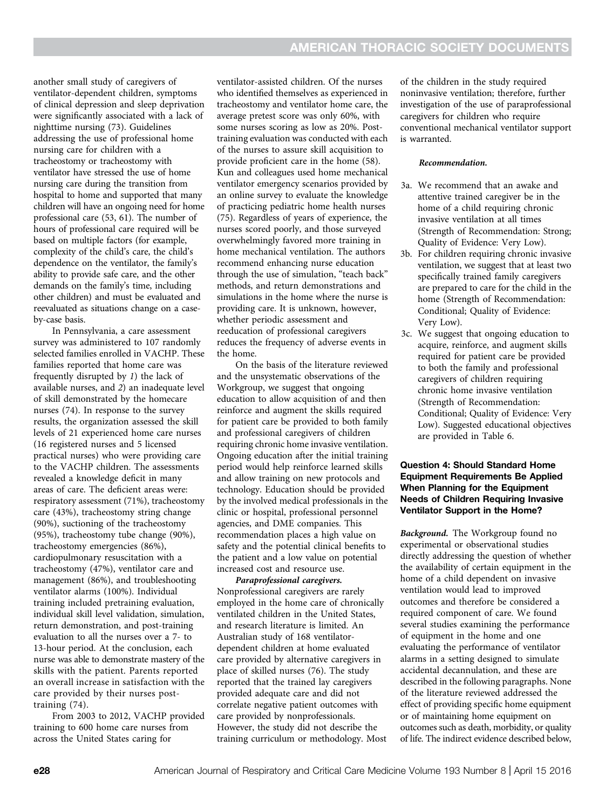another small study of caregivers of ventilator-dependent children, symptoms of clinical depression and sleep deprivation were significantly associated with a lack of nighttime nursing (73). Guidelines addressing the use of professional home nursing care for children with a tracheostomy or tracheostomy with ventilator have stressed the use of home nursing care during the transition from hospital to home and supported that many children will have an ongoing need for home professional care (53, 61). The number of hours of professional care required will be based on multiple factors (for example, complexity of the child's care, the child's dependence on the ventilator, the family's ability to provide safe care, and the other demands on the family's time, including other children) and must be evaluated and reevaluated as situations change on a caseby-case basis.

In Pennsylvania, a care assessment survey was administered to 107 randomly selected families enrolled in VACHP. These families reported that home care was frequently disrupted by 1) the lack of available nurses, and 2) an inadequate level of skill demonstrated by the homecare nurses (74). In response to the survey results, the organization assessed the skill levels of 21 experienced home care nurses (16 registered nurses and 5 licensed practical nurses) who were providing care to the VACHP children. The assessments revealed a knowledge deficit in many areas of care. The deficient areas were: respiratory assessment (71%), tracheostomy care (43%), tracheostomy string change (90%), suctioning of the tracheostomy (95%), tracheostomy tube change (90%), tracheostomy emergencies (86%), cardiopulmonary resuscitation with a tracheostomy (47%), ventilator care and management (86%), and troubleshooting ventilator alarms (100%). Individual training included pretraining evaluation, individual skill level validation, simulation, return demonstration, and post-training evaluation to all the nurses over a 7- to 13-hour period. At the conclusion, each nurse was able to demonstrate mastery of the skills with the patient. Parents reported an overall increase in satisfaction with the care provided by their nurses posttraining (74).

From 2003 to 2012, VACHP provided training to 600 home care nurses from across the United States caring for

ventilator-assisted children. Of the nurses who identified themselves as experienced in tracheostomy and ventilator home care, the average pretest score was only 60%, with some nurses scoring as low as 20%. Posttraining evaluation was conducted with each of the nurses to assure skill acquisition to provide proficient care in the home (58). Kun and colleagues used home mechanical ventilator emergency scenarios provided by an online survey to evaluate the knowledge of practicing pediatric home health nurses (75). Regardless of years of experience, the nurses scored poorly, and those surveyed overwhelmingly favored more training in home mechanical ventilation. The authors recommend enhancing nurse education through the use of simulation, "teach back" methods, and return demonstrations and simulations in the home where the nurse is providing care. It is unknown, however, whether periodic assessment and reeducation of professional caregivers reduces the frequency of adverse events in the home.

On the basis of the literature reviewed and the unsystematic observations of the Workgroup, we suggest that ongoing education to allow acquisition of and then reinforce and augment the skills required for patient care be provided to both family and professional caregivers of children requiring chronic home invasive ventilation. Ongoing education after the initial training period would help reinforce learned skills and allow training on new protocols and technology. Education should be provided by the involved medical professionals in the clinic or hospital, professional personnel agencies, and DME companies. This recommendation places a high value on safety and the potential clinical benefits to the patient and a low value on potential increased cost and resource use.

Paraprofessional caregivers. Nonprofessional caregivers are rarely employed in the home care of chronically ventilated children in the United States, and research literature is limited. An Australian study of 168 ventilatordependent children at home evaluated care provided by alternative caregivers in place of skilled nurses (76). The study reported that the trained lay caregivers provided adequate care and did not correlate negative patient outcomes with care provided by nonprofessionals. However, the study did not describe the training curriculum or methodology. Most of the children in the study required noninvasive ventilation; therefore, further investigation of the use of paraprofessional caregivers for children who require conventional mechanical ventilator support is warranted.

### Recommendation.

- 3a. We recommend that an awake and attentive trained caregiver be in the home of a child requiring chronic invasive ventilation at all times (Strength of Recommendation: Strong; Quality of Evidence: Very Low).
- 3b. For children requiring chronic invasive ventilation, we suggest that at least two specifically trained family caregivers are prepared to care for the child in the home (Strength of Recommendation: Conditional; Quality of Evidence: Very Low).
- 3c. We suggest that ongoing education to acquire, reinforce, and augment skills required for patient care be provided to both the family and professional caregivers of children requiring chronic home invasive ventilation (Strength of Recommendation: Conditional; Quality of Evidence: Very Low). Suggested educational objectives are provided in Table 6.

## Question 4: Should Standard Home Equipment Requirements Be Applied When Planning for the Equipment Needs of Children Requiring Invasive Ventilator Support in the Home?

Background. The Workgroup found no experimental or observational studies directly addressing the question of whether the availability of certain equipment in the home of a child dependent on invasive ventilation would lead to improved outcomes and therefore be considered a required component of care. We found several studies examining the performance of equipment in the home and one evaluating the performance of ventilator alarms in a setting designed to simulate accidental decannulation, and these are described in the following paragraphs. None of the literature reviewed addressed the effect of providing specific home equipment or of maintaining home equipment on outcomes such as death, morbidity, or quality of life. The indirect evidence described below,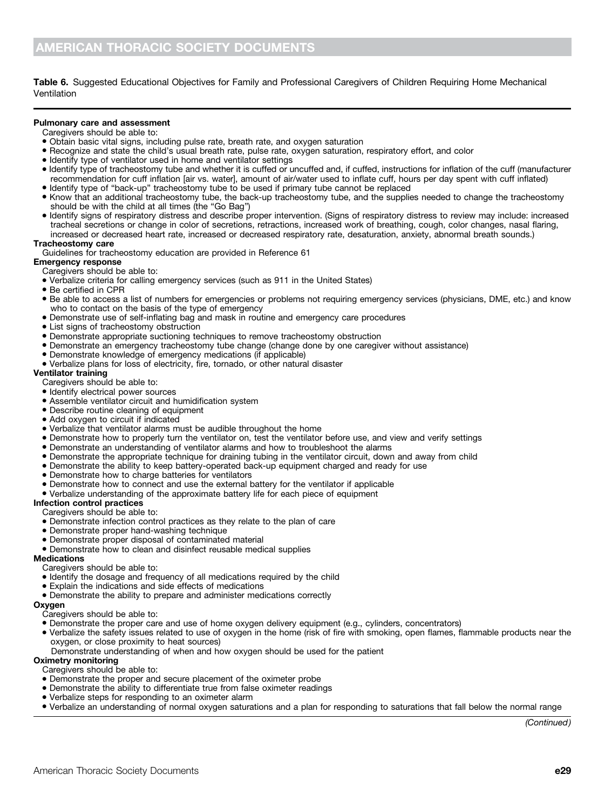Table 6. Suggested Educational Objectives for Family and Professional Caregivers of Children Requiring Home Mechanical Ventilation

#### Pulmonary care and assessment

- Caregivers should be able to:
- . Obtain basic vital signs, including pulse rate, breath rate, and oxygen saturation
- Recognize and state the child's usual breath rate, pulse rate, oxygen saturation, respiratory effort, and color
- Identify type of ventilator used in home and ventilator settings
- <sup>d</sup> Identify type of tracheostomy tube and whether it is cuffed or uncuffed and, if cuffed, instructions for inflation of the cuff (manufacturer recommendation for cuff inflation [air vs. water], amount of air/water used to inflate cuff, hours per day spent with cuff inflated)
- <sup>d</sup> Identify type of "back-up" tracheostomy tube to be used if primary tube cannot be replaced
- <sup>d</sup> Know that an additional tracheostomy tube, the back-up tracheostomy tube, and the supplies needed to change the tracheostomy should be with the child at all times (the "Go Bag")
- <sup>d</sup> Identify signs of respiratory distress and describe proper intervention. (Signs of respiratory distress to review may include: increased tracheal secretions or change in color of secretions, retractions, increased work of breathing, cough, color changes, nasal flaring, increased or decreased heart rate, increased or decreased respiratory rate, desaturation, anxiety, abnormal breath sounds.)

### Tracheostomy care

Guidelines for tracheostomy education are provided in Reference 61

Emergency response

Caregivers should be able to:

- Verbalize criteria for calling emergency services (such as 911 in the United States)
- Be certified in CPR
- <sup>d</sup> Be able to access a list of numbers for emergencies or problems not requiring emergency services (physicians, DME, etc.) and know who to contact on the basis of the type of emergency
- Demonstrate use of self-inflating bag and mask in routine and emergency care procedures
- List signs of tracheostomy obstruction
- Demonstrate appropriate suctioning techniques to remove tracheostomy obstruction
- <sup>d</sup> Demonstrate an emergency tracheostomy tube change (change done by one caregiver without assistance)
- Demonstrate knowledge of emergency medications (if applicable)
- Verbalize plans for loss of electricity, fire, tornado, or other natural disaster

#### Ventilator training

- Caregivers should be able to:
- Identify electrical power sources
- Assemble ventilator circuit and humidification system
- Describe routine cleaning of equipment
- Add oxygen to circuit if indicated
- Verbalize that ventilator alarms must be audible throughout the home
- Demonstrate how to properly turn the ventilator on, test the ventilator before use, and view and verify settings
- Demonstrate an understanding of ventilator alarms and how to troubleshoot the alarms
- Demonstrate the appropriate technique for draining tubing in the ventilator circuit, down and away from child
- Demonstrate the ability to keep battery-operated back-up equipment charged and ready for use
- Demonstrate how to charge batteries for ventilators
- Demonstrate how to connect and use the external battery for the ventilator if applicable
- Verbalize understanding of the approximate battery life for each piece of equipment

#### Infection control practices

Caregivers should be able to:

- Demonstrate infection control practices as they relate to the plan of care
- Demonstrate proper hand-washing technique
- Demonstrate proper disposal of contaminated material
- Demonstrate how to clean and disinfect reusable medical supplies

#### Medications

- Caregivers should be able to:
- Identify the dosage and frequency of all medications required by the child
- Explain the indications and side effects of medications
- Demonstrate the ability to prepare and administer medications correctly

## Oxygen

- Caregivers should be able to:
- Demonstrate the proper care and use of home oxygen delivery equipment (e.g., cylinders, concentrators)
- <sup>d</sup> Verbalize the safety issues related to use of oxygen in the home (risk of fire with smoking, open flames, flammable products near the oxygen, or close proximity to heat sources)
	- Demonstrate understanding of when and how oxygen should be used for the patient

#### Oximetry monitoring

- Caregivers should be able to:
- Demonstrate the proper and secure placement of the oximeter probe
- Demonstrate the ability to differentiate true from false oximeter readings
- Verbalize steps for responding to an oximeter alarm
- Verbalize an understanding of normal oxygen saturations and a plan for responding to saturations that fall below the normal range

(Continued)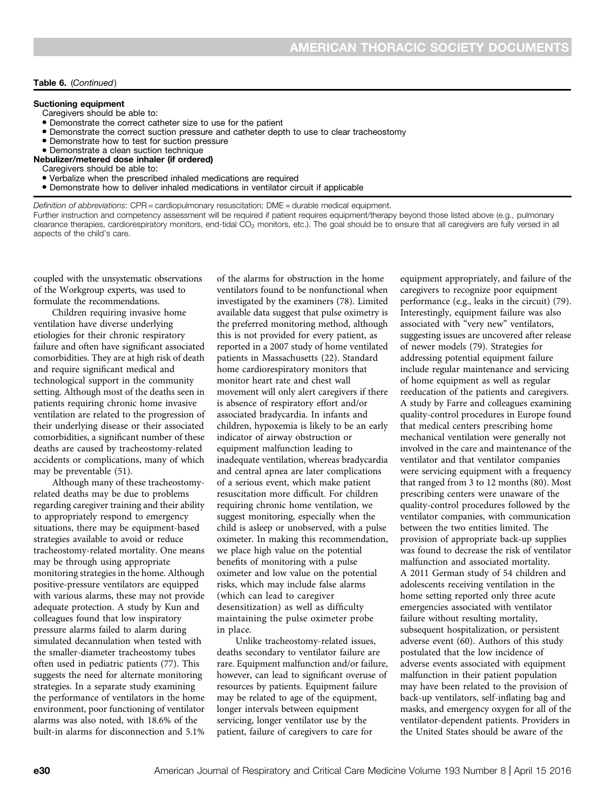#### Table 6. (Continued)

#### Suctioning equipment

- Caregivers should be able to:
- Demonstrate the correct catheter size to use for the patient
- Demonstrate the correct suction pressure and catheter depth to use to clear tracheostomy
- Demonstrate how to test for suction pressure
- Demonstrate a clean suction technique

Nebulizer/metered dose inhaler (if ordered)

- Caregivers should be able to:
- Verbalize when the prescribed inhaled medications are required
- Demonstrate how to deliver inhaled medications in ventilator circuit if applicable

Definition of abbreviations: CPR = cardiopulmonary resuscitation; DME = durable medical equipment.

Further instruction and competency assessment will be required if patient requires equipment/therapy beyond those listed above (e.g., pulmonary clearance therapies, cardiorespiratory monitors, end-tidal CO<sub>2</sub> monitors, etc.). The goal should be to ensure that all caregivers are fully versed in all aspects of the child's care.

coupled with the unsystematic observations of the Workgroup experts, was used to formulate the recommendations.

Children requiring invasive home ventilation have diverse underlying etiologies for their chronic respiratory failure and often have significant associated comorbidities. They are at high risk of death and require significant medical and technological support in the community setting. Although most of the deaths seen in patients requiring chronic home invasive ventilation are related to the progression of their underlying disease or their associated comorbidities, a significant number of these deaths are caused by tracheostomy-related accidents or complications, many of which may be preventable (51).

Although many of these tracheostomyrelated deaths may be due to problems regarding caregiver training and their ability to appropriately respond to emergency situations, there may be equipment-based strategies available to avoid or reduce tracheostomy-related mortality. One means may be through using appropriate monitoring strategies in the home. Although positive-pressure ventilators are equipped with various alarms, these may not provide adequate protection. A study by Kun and colleagues found that low inspiratory pressure alarms failed to alarm during simulated decannulation when tested with the smaller-diameter tracheostomy tubes often used in pediatric patients (77). This suggests the need for alternate monitoring strategies. In a separate study examining the performance of ventilators in the home environment, poor functioning of ventilator alarms was also noted, with 18.6% of the built-in alarms for disconnection and 5.1% of the alarms for obstruction in the home ventilators found to be nonfunctional when investigated by the examiners (78). Limited available data suggest that pulse oximetry is the preferred monitoring method, although this is not provided for every patient, as reported in a 2007 study of home ventilated patients in Massachusetts (22). Standard home cardiorespiratory monitors that monitor heart rate and chest wall movement will only alert caregivers if there is absence of respiratory effort and/or associated bradycardia. In infants and children, hypoxemia is likely to be an early indicator of airway obstruction or equipment malfunction leading to inadequate ventilation, whereas bradycardia and central apnea are later complications of a serious event, which make patient resuscitation more difficult. For children requiring chronic home ventilation, we suggest monitoring, especially when the child is asleep or unobserved, with a pulse oximeter. In making this recommendation, we place high value on the potential benefits of monitoring with a pulse oximeter and low value on the potential risks, which may include false alarms (which can lead to caregiver desensitization) as well as difficulty maintaining the pulse oximeter probe in place.

Unlike tracheostomy-related issues, deaths secondary to ventilator failure are rare. Equipment malfunction and/or failure, however, can lead to significant overuse of resources by patients. Equipment failure may be related to age of the equipment, longer intervals between equipment servicing, longer ventilator use by the patient, failure of caregivers to care for

equipment appropriately, and failure of the caregivers to recognize poor equipment performance (e.g., leaks in the circuit) (79). Interestingly, equipment failure was also associated with "very new" ventilators, suggesting issues are uncovered after release of newer models (79). Strategies for addressing potential equipment failure include regular maintenance and servicing of home equipment as well as regular reeducation of the patients and caregivers. A study by Farre and colleagues examining quality-control procedures in Europe found that medical centers prescribing home mechanical ventilation were generally not involved in the care and maintenance of the ventilator and that ventilator companies were servicing equipment with a frequency that ranged from 3 to 12 months (80). Most prescribing centers were unaware of the quality-control procedures followed by the ventilator companies, with communication between the two entities limited. The provision of appropriate back-up supplies was found to decrease the risk of ventilator malfunction and associated mortality. A 2011 German study of 54 children and adolescents receiving ventilation in the home setting reported only three acute emergencies associated with ventilator failure without resulting mortality, subsequent hospitalization, or persistent adverse event (60). Authors of this study postulated that the low incidence of adverse events associated with equipment malfunction in their patient population may have been related to the provision of back-up ventilators, self-inflating bag and masks, and emergency oxygen for all of the ventilator-dependent patients. Providers in the United States should be aware of the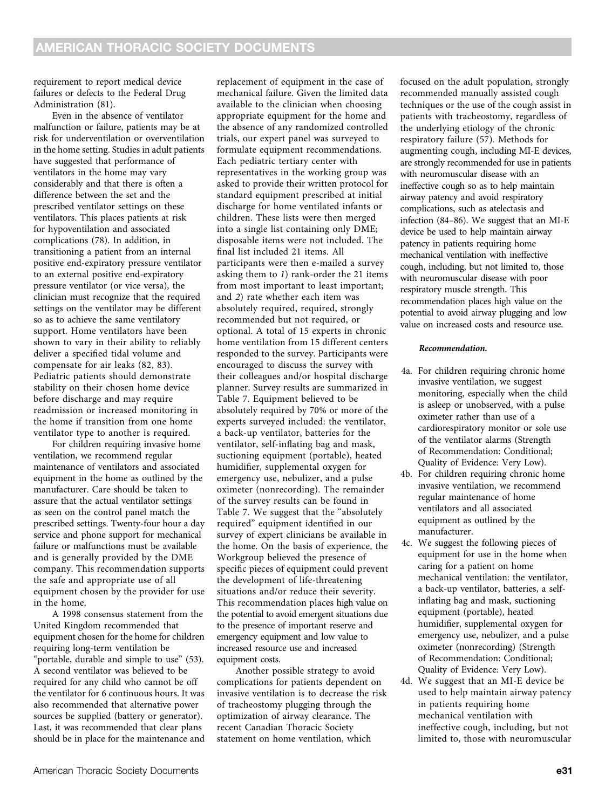requirement to report medical device failures or defects to the Federal Drug Administration (81).

Even in the absence of ventilator malfunction or failure, patients may be at risk for underventilation or overventilation in the home setting. Studies in adult patients have suggested that performance of ventilators in the home may vary considerably and that there is often a difference between the set and the prescribed ventilator settings on these ventilators. This places patients at risk for hypoventilation and associated complications (78). In addition, in transitioning a patient from an internal positive end-expiratory pressure ventilator to an external positive end-expiratory pressure ventilator (or vice versa), the clinician must recognize that the required settings on the ventilator may be different so as to achieve the same ventilatory support. Home ventilators have been shown to vary in their ability to reliably deliver a specified tidal volume and compensate for air leaks (82, 83). Pediatric patients should demonstrate stability on their chosen home device before discharge and may require readmission or increased monitoring in the home if transition from one home ventilator type to another is required.

For children requiring invasive home ventilation, we recommend regular maintenance of ventilators and associated equipment in the home as outlined by the manufacturer. Care should be taken to assure that the actual ventilator settings as seen on the control panel match the prescribed settings. Twenty-four hour a day service and phone support for mechanical failure or malfunctions must be available and is generally provided by the DME company. This recommendation supports the safe and appropriate use of all equipment chosen by the provider for use in the home.

A 1998 consensus statement from the United Kingdom recommended that equipment chosen for the home for children requiring long-term ventilation be "portable, durable and simple to use" (53). A second ventilator was believed to be required for any child who cannot be off the ventilator for 6 continuous hours. It was also recommended that alternative power sources be supplied (battery or generator). Last, it was recommended that clear plans should be in place for the maintenance and replacement of equipment in the case of mechanical failure. Given the limited data available to the clinician when choosing appropriate equipment for the home and the absence of any randomized controlled trials, our expert panel was surveyed to formulate equipment recommendations. Each pediatric tertiary center with representatives in the working group was asked to provide their written protocol for standard equipment prescribed at initial discharge for home ventilated infants or children. These lists were then merged into a single list containing only DME; disposable items were not included. The final list included 21 items. All participants were then e-mailed a survey asking them to 1) rank-order the 21 items from most important to least important; and 2) rate whether each item was absolutely required, required, strongly recommended but not required, or optional. A total of 15 experts in chronic home ventilation from 15 different centers responded to the survey. Participants were encouraged to discuss the survey with their colleagues and/or hospital discharge planner. Survey results are summarized in Table 7. Equipment believed to be absolutely required by 70% or more of the experts surveyed included: the ventilator, a back-up ventilator, batteries for the ventilator, self-inflating bag and mask, suctioning equipment (portable), heated humidifier, supplemental oxygen for emergency use, nebulizer, and a pulse oximeter (nonrecording). The remainder of the survey results can be found in Table 7. We suggest that the "absolutely required" equipment identified in our survey of expert clinicians be available in the home. On the basis of experience, the Workgroup believed the presence of specific pieces of equipment could prevent the development of life-threatening situations and/or reduce their severity. This recommendation places high value on the potential to avoid emergent situations due to the presence of important reserve and emergency equipment and low value to increased resource use and increased equipment costs.

Another possible strategy to avoid complications for patients dependent on invasive ventilation is to decrease the risk of tracheostomy plugging through the optimization of airway clearance. The recent Canadian Thoracic Society statement on home ventilation, which

focused on the adult population, strongly recommended manually assisted cough techniques or the use of the cough assist in patients with tracheostomy, regardless of the underlying etiology of the chronic respiratory failure (57). Methods for augmenting cough, including MI-E devices, are strongly recommended for use in patients with neuromuscular disease with an ineffective cough so as to help maintain airway patency and avoid respiratory complications, such as atelectasis and infection (84–86). We suggest that an MI-E device be used to help maintain airway patency in patients requiring home mechanical ventilation with ineffective cough, including, but not limited to, those with neuromuscular disease with poor respiratory muscle strength. This recommendation places high value on the potential to avoid airway plugging and low value on increased costs and resource use.

#### Recommendation.

- 4a. For children requiring chronic home invasive ventilation, we suggest monitoring, especially when the child is asleep or unobserved, with a pulse oximeter rather than use of a cardiorespiratory monitor or sole use of the ventilator alarms (Strength of Recommendation: Conditional; Quality of Evidence: Very Low).
- 4b. For children requiring chronic home invasive ventilation, we recommend regular maintenance of home ventilators and all associated equipment as outlined by the manufacturer.
- 4c. We suggest the following pieces of equipment for use in the home when caring for a patient on home mechanical ventilation: the ventilator, a back-up ventilator, batteries, a selfinflating bag and mask, suctioning equipment (portable), heated humidifier, supplemental oxygen for emergency use, nebulizer, and a pulse oximeter (nonrecording) (Strength of Recommendation: Conditional; Quality of Evidence: Very Low).
- 4d. We suggest that an MI-E device be used to help maintain airway patency in patients requiring home mechanical ventilation with ineffective cough, including, but not limited to, those with neuromuscular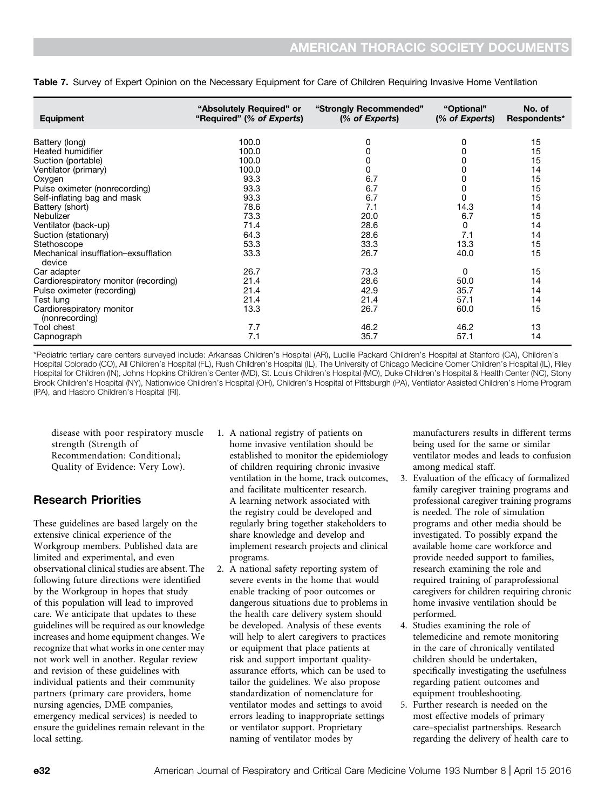| Equipment                                      | "Absolutely Required" or<br>"Required" (% of Experts) | "Strongly Recommended"<br>$%$ of Experts) | "Optional"<br>$%$ of Experts) | No. of<br>Respondents* |
|------------------------------------------------|-------------------------------------------------------|-------------------------------------------|-------------------------------|------------------------|
| Battery (long)                                 | 100.0                                                 | 0                                         | 0                             | 15                     |
| Heated humidifier                              | 100.0                                                 |                                           |                               | 15                     |
| Suction (portable)                             | 100.0                                                 | 0                                         |                               | 15                     |
| Ventilator (primary)                           | 100.0                                                 | 0                                         |                               | 14                     |
| Oxygen                                         | 93.3                                                  | 6.7                                       |                               | 15                     |
| Pulse oximeter (nonrecording)                  | 93.3                                                  | 6.7                                       |                               | 15                     |
| Self-inflating bag and mask                    | 93.3                                                  | 6.7                                       |                               | 15                     |
| Battery (short)                                | 78.6                                                  | 7.1                                       | 14.3                          | 14                     |
| Nebulizer                                      | 73.3                                                  | 20.0                                      | 6.7                           | 15                     |
| Ventilator (back-up)                           | 71.4                                                  | 28.6                                      | 0                             | 14                     |
| Suction (stationary)                           | 64.3                                                  | 28.6                                      | 7.1                           | 14                     |
| Stethoscope                                    | 53.3                                                  | 33.3                                      | 13.3                          | 15                     |
| Mechanical insufflation-exsufflation<br>device | 33.3                                                  | 26.7                                      | 40.0                          | 15                     |
| Car adapter                                    | 26.7                                                  | 73.3                                      | 0                             | 15                     |
| Cardiorespiratory monitor (recording)          | 21.4                                                  | 28.6                                      | 50.0                          | 14                     |
| Pulse oximeter (recording)                     | 21.4                                                  | 42.9                                      | 35.7                          | 14                     |
| Test lung                                      | 21.4                                                  | 21.4                                      | 57.1                          | 14                     |
| Cardiorespiratory monitor<br>(nonrecording)    | 13.3                                                  | 26.7                                      | 60.0                          | 15                     |
| Tool chest                                     | 7.7                                                   | 46.2                                      | 46.2                          | 13                     |
| Capnograph                                     | 7.1                                                   | 35.7                                      | 57.1                          | 14                     |

Table 7. Survey of Expert Opinion on the Necessary Equipment for Care of Children Requiring Invasive Home Ventilation

\*Pediatric tertiary care centers surveyed include: Arkansas Children's Hospital (AR), Lucille Packard Children's Hospital at Stanford (CA), Children's Hospital Colorado (CO), All Children's Hospital (FL), Rush Children's Hospital (IL), The University of Chicago Medicine Comer Children's Hospital (IL), Riley Hospital for Children (IN), Johns Hopkins Children's Center (MD), St. Louis Children's Hospital (MO), Duke Children's Hospital & Health Center (NC), Stony Brook Children's Hospital (NY), Nationwide Children's Hospital (OH), Children's Hospital of Pittsburgh (PA), Ventilator Assisted Children's Home Program (PA), and Hasbro Children's Hospital (RI).

disease with poor respiratory muscle strength (Strength of Recommendation: Conditional; Quality of Evidence: Very Low).

# Research Priorities

These guidelines are based largely on the extensive clinical experience of the Workgroup members. Published data are limited and experimental, and even observational clinical studies are absent. The following future directions were identified by the Workgroup in hopes that study of this population will lead to improved care. We anticipate that updates to these guidelines will be required as our knowledge increases and home equipment changes. We recognize that what works in one center may not work well in another. Regular review and revision of these guidelines with individual patients and their community partners (primary care providers, home nursing agencies, DME companies, emergency medical services) is needed to ensure the guidelines remain relevant in the local setting.

- 1. A national registry of patients on home invasive ventilation should be established to monitor the epidemiology of children requiring chronic invasive ventilation in the home, track outcomes, and facilitate multicenter research. A learning network associated with the registry could be developed and regularly bring together stakeholders to share knowledge and develop and implement research projects and clinical programs.
- 2. A national safety reporting system of severe events in the home that would enable tracking of poor outcomes or dangerous situations due to problems in the health care delivery system should be developed. Analysis of these events will help to alert caregivers to practices or equipment that place patients at risk and support important qualityassurance efforts, which can be used to tailor the guidelines. We also propose standardization of nomenclature for ventilator modes and settings to avoid errors leading to inappropriate settings or ventilator support. Proprietary naming of ventilator modes by

manufacturers results in different terms being used for the same or similar ventilator modes and leads to confusion among medical staff.

- 3. Evaluation of the efficacy of formalized family caregiver training programs and professional caregiver training programs is needed. The role of simulation programs and other media should be investigated. To possibly expand the available home care workforce and provide needed support to families, research examining the role and required training of paraprofessional caregivers for children requiring chronic home invasive ventilation should be performed.
- 4. Studies examining the role of telemedicine and remote monitoring in the care of chronically ventilated children should be undertaken, specifically investigating the usefulness regarding patient outcomes and equipment troubleshooting.
- 5. Further research is needed on the most effective models of primary care–specialist partnerships. Research regarding the delivery of health care to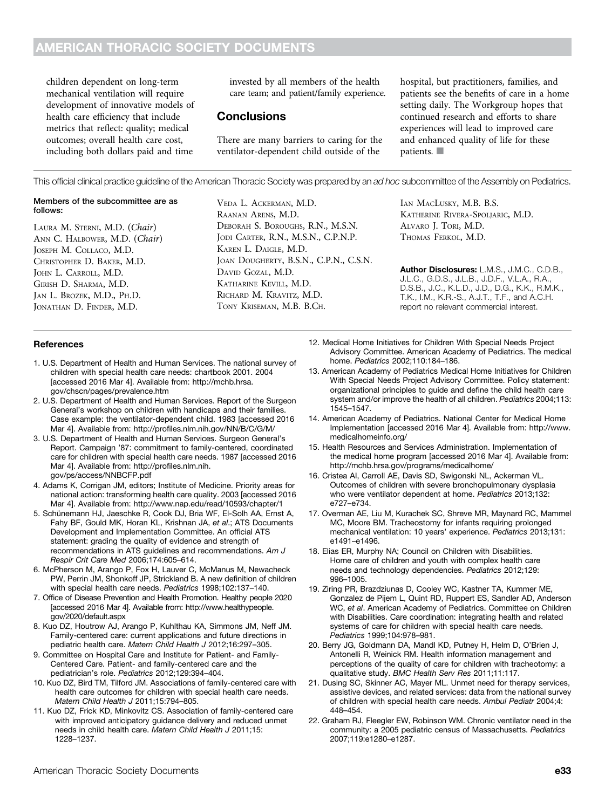children dependent on long-term mechanical ventilation will require development of innovative models of health care efficiency that include metrics that reflect: quality; medical outcomes; overall health care cost, including both dollars paid and time

invested by all members of the health care team; and patient/family experience.

## **Conclusions**

There are many barriers to caring for the ventilator-dependent child outside of the

hospital, but practitioners, families, and patients see the benefits of care in a home setting daily. The Workgroup hopes that continued research and efforts to share experiences will lead to improved care and enhanced quality of life for these patients.  $\Box$ 

This official clinical practice guideline of the American Thoracic Society was prepared by an ad hoc subcommittee of the Assembly on Pediatrics.

#### Members of the subcommittee are as follows:

LAURA M. STERNI, M.D. (Chair) ANN C. HALBOWER, M.D. (Chair) JOSEPH M. COLLACO, M.D. CHRISTOPHER D. BAKER, M.D. JOHN L. CARROLL, M.D. GIRISH D. SHARMA, M.D. JAN L. BROZEK, M.D., PH.D. JONATHAN D. FINDER, M.D.

VEDA L. ACKERMAN, M.D. RAANAN ARENS, M.D. DEBORAH S. BOROUGHS, R.N., M.S.N. JODI CARTER, R.N., M.S.N., C.P.N.P. KAREN L. DAIGLE, M.D. JOAN DOUGHERTY, B.S.N., C.P.N., C.S.N. DAVID GOZAL, M.D. KATHARINE KEVILL, M.D. RICHARD M. KRAVITZ, M.D. TONY KRISEMAN, M.B. B.CH.

IAN MACLUSKY, M.B. B.S. KATHERINE RIVERA-SPOLJARIC, M.D. ALVARO J. TORI, M.D. THOMAS FERKOL, M.D.

Author Disclosures: L.M.S., J.M.C., C.D.B., J.L.C., G.D.S., J.L.B., J.D.F., V.L.A., R.A., D.S.B., J.C., K.L.D., J.D., D.G., K.K., R.M.K., T.K., I.M., K.R.-S., A.J.T., T.F., and A.C.H. report no relevant commercial interest.

## References

- 1. U.S. Department of Health and Human Services. The national survey of children with special health care needs: chartbook 2001. 2004 [accessed 2016 Mar 4]. Available from: [http://mchb.hrsa.](http://mchb.hrsa.gov/chscn/pages/prevalence.htm) [gov/chscn/pages/prevalence.htm](http://mchb.hrsa.gov/chscn/pages/prevalence.htm)
- 2. U.S. Department of Health and Human Services. Report of the Surgeon General's workshop on children with handicaps and their families. Case example: the ventilator-dependent child. 1983 [accessed 2016 Mar 4]. Available from: http://profi[les.nlm.nih.gov/NN/B/C/G/M/](http://profiles.nlm.nih.gov/NN/B/C/G/M/)
- 3. U.S. Department of Health and Human Services. Surgeon General's Report. Campaign '87: commitment to family-centered, coordinated care for children with special health care needs. 1987 [accessed 2016 Mar 4]. Available from: http://profi[les.nlm.nih.](http://profiles.nlm.nih.gov/ps/access/NNBCFP.pdf) [gov/ps/access/NNBCFP.pdf](http://profiles.nlm.nih.gov/ps/access/NNBCFP.pdf)
- 4. Adams K, Corrigan JM, editors; Institute of Medicine. Priority areas for national action: transforming health care quality. 2003 [accessed 2016 Mar 4]. Available from:<http://www.nap.edu/read/10593/chapter/1>
- 5. Schünemann HJ, Jaeschke R, Cook DJ, Bria WF, El-Solh AA, Ernst A, Fahy BF, Gould MK, Horan KL, Krishnan JA, et al.; ATS Documents Development and Implementation Committee. An official ATS statement: grading the quality of evidence and strength of recommendations in ATS guidelines and recommendations. Am J Respir Crit Care Med 2006;174:605–614.
- 6. McPherson M, Arango P, Fox H, Lauver C, McManus M, Newacheck PW, Perrin JM, Shonkoff JP, Strickland B. A new definition of children with special health care needs. Pediatrics 1998;102:137–140.
- 7. Office of Disease Prevention and Health Promotion. Healthy people 2020 [accessed 2016 Mar 4]. Available from: [http://www.healthypeople.](http://www.healthypeople.gov/2020/default.aspx) [gov/2020/default.aspx](http://www.healthypeople.gov/2020/default.aspx)
- 8. Kuo DZ, Houtrow AJ, Arango P, Kuhlthau KA, Simmons JM, Neff JM. Family-centered care: current applications and future directions in pediatric health care. Matern Child Health J 2012;16:297–305.
- 9. Committee on Hospital Care and Institute for Patient- and Family-Centered Care. Patient- and family-centered care and the pediatrician's role. Pediatrics 2012;129:394–404.
- 10. Kuo DZ, Bird TM, Tilford JM. Associations of family-centered care with health care outcomes for children with special health care needs. Matern Child Health J 2011;15:794–805.
- 11. Kuo DZ, Frick KD, Minkovitz CS. Association of family-centered care with improved anticipatory guidance delivery and reduced unmet needs in child health care. Matern Child Health J 2011;15: 1228–1237.
- 12. Medical Home Initiatives for Children With Special Needs Project Advisory Committee. American Academy of Pediatrics. The medical home. Pediatrics 2002;110:184–186.
- 13. American Academy of Pediatrics Medical Home Initiatives for Children With Special Needs Project Advisory Committee. Policy statement: organizational principles to guide and define the child health care system and/or improve the health of all children. Pediatrics 2004;113: 1545–1547.
- 14. American Academy of Pediatrics. National Center for Medical Home Implementation [accessed 2016 Mar 4]. Available from: [http://www.](http://www.medicalhomeinfo.org/) [medicalhomeinfo.org/](http://www.medicalhomeinfo.org/)
- 15. Health Resources and Services Administration. Implementation of the medical home program [accessed 2016 Mar 4]. Available from: <http://mchb.hrsa.gov/programs/medicalhome/>
- 16. Cristea AI, Carroll AE, Davis SD, Swigonski NL, Ackerman VL. Outcomes of children with severe bronchopulmonary dysplasia who were ventilator dependent at home. Pediatrics 2013;132: e727–e734.
- 17. Overman AE, Liu M, Kurachek SC, Shreve MR, Maynard RC, Mammel MC, Moore BM. Tracheostomy for infants requiring prolonged mechanical ventilation: 10 years' experience. Pediatrics 2013;131: e1491–e1496.
- 18. Elias ER, Murphy NA; Council on Children with Disabilities. Home care of children and youth with complex health care needs and technology dependencies. Pediatrics 2012;129: 996–1005.
- 19. Ziring PR, Brazdziunas D, Cooley WC, Kastner TA, Kummer ME, Gonzalez de Pijem L, Quint RD, Ruppert ES, Sandler AD, Anderson WC, et al. American Academy of Pediatrics. Committee on Children with Disabilities. Care coordination: integrating health and related systems of care for children with special health care needs. Pediatrics 1999;104:978–981.
- 20. Berry JG, Goldmann DA, Mandl KD, Putney H, Helm D, O'Brien J, Antonelli R, Weinick RM. Health information management and perceptions of the quality of care for children with tracheotomy: a qualitative study. BMC Health Serv Res 2011;11:117.
- 21. Dusing SC, Skinner AC, Mayer ML. Unmet need for therapy services, assistive devices, and related services: data from the national survey of children with special health care needs. Ambul Pediatr 2004;4: 448–454.
- 22. Graham RJ, Fleegler EW, Robinson WM. Chronic ventilator need in the community: a 2005 pediatric census of Massachusetts. Pediatrics 2007;119:e1280–e1287.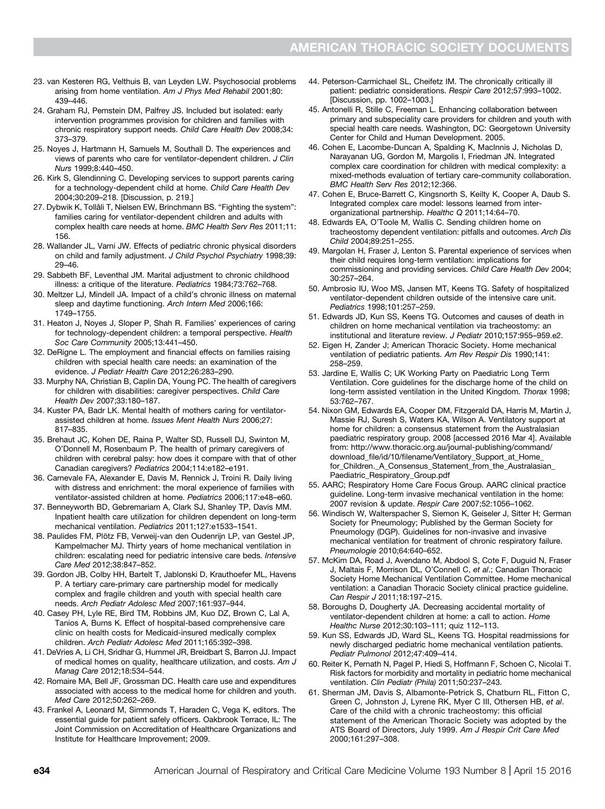- 23. van Kesteren RG, Velthuis B, van Leyden LW. Psychosocial problems arising from home ventilation. Am J Phys Med Rehabil 2001;80: 439–446.
- 24. Graham RJ, Pemstein DM, Palfrey JS. Included but isolated: early intervention programmes provision for children and families with chronic respiratory support needs. Child Care Health Dev 2008;34: 373–379.
- 25. Noyes J, Hartmann H, Samuels M, Southall D. The experiences and views of parents who care for ventilator-dependent children. J Clin Nurs 1999;8:440–450.
- 26. Kirk S, Glendinning C. Developing services to support parents caring for a technology-dependent child at home. Child Care Health Dev 2004;30:209–218. [Discussion, p. 219.]
- 27. Dybwik K, Tollåli T, Nielsen EW, Brinchmann BS. "Fighting the system": families caring for ventilator-dependent children and adults with complex health care needs at home. BMC Health Serv Res 2011;11: 156.
- 28. Wallander JL, Varni JW. Effects of pediatric chronic physical disorders on child and family adjustment. J Child Psychol Psychiatry 1998;39: 29–46.
- 29. Sabbeth BF, Leventhal JM. Marital adjustment to chronic childhood illness: a critique of the literature. Pediatrics 1984;73:762–768.
- 30. Meltzer LJ, Mindell JA. Impact of a child's chronic illness on maternal sleep and daytime functioning. Arch Intern Med 2006;166: 1749–1755.
- 31. Heaton J, Noyes J, Sloper P, Shah R. Families' experiences of caring for technology-dependent children: a temporal perspective. Health Soc Care Community 2005;13:441–450.
- 32. DeRigne L. The employment and financial effects on families raising children with special health care needs: an examination of the evidence. J Pediatr Health Care 2012;26:283–290.
- 33. Murphy NA, Christian B, Caplin DA, Young PC. The health of caregivers for children with disabilities: caregiver perspectives. Child Care Health Dev 2007;33:180–187.
- 34. Kuster PA, Badr LK. Mental health of mothers caring for ventilatorassisted children at home. Issues Ment Health Nurs 2006;27: 817–835.
- 35. Brehaut JC, Kohen DE, Raina P, Walter SD, Russell DJ, Swinton M, O'Donnell M, Rosenbaum P. The health of primary caregivers of children with cerebral palsy: how does it compare with that of other Canadian caregivers? Pediatrics 2004;114:e182–e191.
- 36. Carnevale FA, Alexander E, Davis M, Rennick J, Troini R. Daily living with distress and enrichment: the moral experience of families with ventilator-assisted children at home. Pediatrics 2006;117:e48–e60.
- 37. Benneyworth BD, Gebremariam A, Clark SJ, Shanley TP, Davis MM. Inpatient health care utilization for children dependent on long-term mechanical ventilation. Pediatrics 2011;127:e1533–1541.
- 38. Paulides FM, Plötz FB, Verweij-van den Oudenrijn LP, van Gestel JP, Kampelmacher MJ. Thirty years of home mechanical ventilation in children: escalating need for pediatric intensive care beds. Intensive Care Med 2012;38:847–852.
- 39. Gordon JB, Colby HH, Bartelt T, Jablonski D, Krauthoefer ML, Havens P. A tertiary care-primary care partnership model for medically complex and fragile children and youth with special health care needs. Arch Pediatr Adolesc Med 2007;161:937–944.
- 40. Casey PH, Lyle RE, Bird TM, Robbins JM, Kuo DZ, Brown C, Lal A, Tanios A, Burns K. Effect of hospital-based comprehensive care clinic on health costs for Medicaid-insured medically complex children. Arch Pediatr Adolesc Med 2011;165:392–398.
- 41. DeVries A, Li CH, Sridhar G, Hummel JR, Breidbart S, Barron JJ. Impact of medical homes on quality, healthcare utilization, and costs. Am J Manag Care 2012;18:534–544.
- 42. Romaire MA, Bell JF, Grossman DC. Health care use and expenditures associated with access to the medical home for children and youth. Med Care 2012;50:262–269.
- 43. Frankel A, Leonard M, Simmonds T, Haraden C, Vega K, editors. The essential guide for patient safely officers. Oakbrook Terrace, IL: The Joint Commission on Accreditation of Healthcare Organizations and Institute for Healthcare Improvement; 2009.
- 44. Peterson-Carmichael SL, Cheifetz IM. The chronically critically ill patient: pediatric considerations. Respir Care 2012;57:993–1002. [Discussion, pp. 1002–1003.]
- 45. Antonelli R, Stille C, Freeman L. Enhancing collaboration between primary and subspeciality care providers for children and youth with special health care needs. Washington, DC: Georgetown University Center for Child and Human Development. 2005.
- 46. Cohen E, Lacombe-Duncan A, Spalding K, MacInnis J, Nicholas D, Narayanan UG, Gordon M, Margolis I, Friedman JN. Integrated complex care coordination for children with medical complexity: a mixed-methods evaluation of tertiary care-community collaboration. BMC Health Serv Res 2012;12:366.
- 47. Cohen E, Bruce-Barrett C, Kingsnorth S, Keilty K, Cooper A, Daub S. Integrated complex care model: lessons learned from interorganizational partnership. Healthc Q 2011;14:64–70.
- 48. Edwards EA, O'Toole M, Wallis C. Sending children home on tracheostomy dependent ventilation: pitfalls and outcomes. Arch Dis Child 2004;89:251–255.
- 49. Margolan H, Fraser J, Lenton S. Parental experience of services when their child requires long-term ventilation: implications for commissioning and providing services. Child Care Health Dev 2004; 30:257–264.
- 50. Ambrosio IU, Woo MS, Jansen MT, Keens TG. Safety of hospitalized ventilator-dependent children outside of the intensive care unit. Pediatrics 1998;101:257–259.
- 51. Edwards JD, Kun SS, Keens TG. Outcomes and causes of death in children on home mechanical ventilation via tracheostomy: an institutional and literature review. J Pediatr 2010;157:955–959.e2.
- 52. Eigen H, Zander J; American Thoracic Society. Home mechanical ventilation of pediatric patients. Am Rev Respir Dis 1990;141: 258–259.
- 53. Jardine E, Wallis C; UK Working Party on Paediatric Long Term Ventilation. Core guidelines for the discharge home of the child on long-term assisted ventilation in the United Kingdom. Thorax 1998; 53:762–767.
- 54. Nixon GM, Edwards EA, Cooper DM, Fitzgerald DA, Harris M, Martin J, Massie RJ, Suresh S, Waters KA, Wilson A. Ventilatory support at home for children: a consensus statement from the Australasian paediatric respiratory group. 2008 [accessed 2016 Mar 4]. Available from: [http://www.thoracic.org.au/journal-publishing/command/](http://www.thoracic.org.au/journal-publishing/command/download_file/id/10/filename/Ventilatory_Support_at_Home_for_Children._A_Consensus_Statement_from_the_Australasian_Paediatric_Respiratory_Group.pdf) download\_file/id/10/fi[lename/Ventilatory\\_Support\\_at\\_Home\\_](http://www.thoracic.org.au/journal-publishing/command/download_file/id/10/filename/Ventilatory_Support_at_Home_for_Children._A_Consensus_Statement_from_the_Australasian_Paediatric_Respiratory_Group.pdf) [for\\_Children.\\_A\\_Consensus\\_Statement\\_from\\_the\\_Australasian\\_](http://www.thoracic.org.au/journal-publishing/command/download_file/id/10/filename/Ventilatory_Support_at_Home_for_Children._A_Consensus_Statement_from_the_Australasian_Paediatric_Respiratory_Group.pdf) [Paediatric\\_Respiratory\\_Group.pdf](http://www.thoracic.org.au/journal-publishing/command/download_file/id/10/filename/Ventilatory_Support_at_Home_for_Children._A_Consensus_Statement_from_the_Australasian_Paediatric_Respiratory_Group.pdf)
- 55. AARC; Respiratory Home Care Focus Group. AARC clinical practice guideline. Long-term invasive mechanical ventilation in the home: 2007 revision & update. Respir Care 2007;52:1056–1062.
- 56. Windisch W, Walterspacher S, Siemon K, Geiseler J, Sitter H; German Society for Pneumology; Published by the German Society for Pneumology (DGP). Guidelines for non-invasive and invasive mechanical ventilation for treatment of chronic respiratory failure. Pneumologie 2010;64:640–652.
- 57. McKim DA, Road J, Avendano M, Abdool S, Cote F, Duguid N, Fraser J, Maltais F, Morrison DL, O'Connell C, et al.; Canadian Thoracic Society Home Mechanical Ventilation Committee. Home mechanical ventilation: a Canadian Thoracic Society clinical practice guideline. Can Respir J 2011;18:197–215.
- 58. Boroughs D, Dougherty JA. Decreasing accidental mortality of ventilator-dependent children at home: a call to action. Home Healthc Nurse 2012;30:103–111; quiz 112–113.
- 59. Kun SS, Edwards JD, Ward SL, Keens TG. Hospital readmissions for newly discharged pediatric home mechanical ventilation patients. Pediatr Pulmonol 2012;47:409–414.
- 60. Reiter K, Pernath N, Pagel P, Hiedi S, Hoffmann F, Schoen C, Nicolai T. Risk factors for morbidity and mortality in pediatric home mechanical ventilation. Clin Pediatr (Phila) 2011;50:237–243.
- 61. Sherman JM, Davis S, Albamonte-Petrick S, Chatburn RL, Fitton C, Green C, Johnston J, Lyrene RK, Myer C III, Othersen HB, et al. Care of the child with a chronic tracheostomy: this official statement of the American Thoracic Society was adopted by the ATS Board of Directors, July 1999. Am J Respir Crit Care Med 2000;161:297–308.